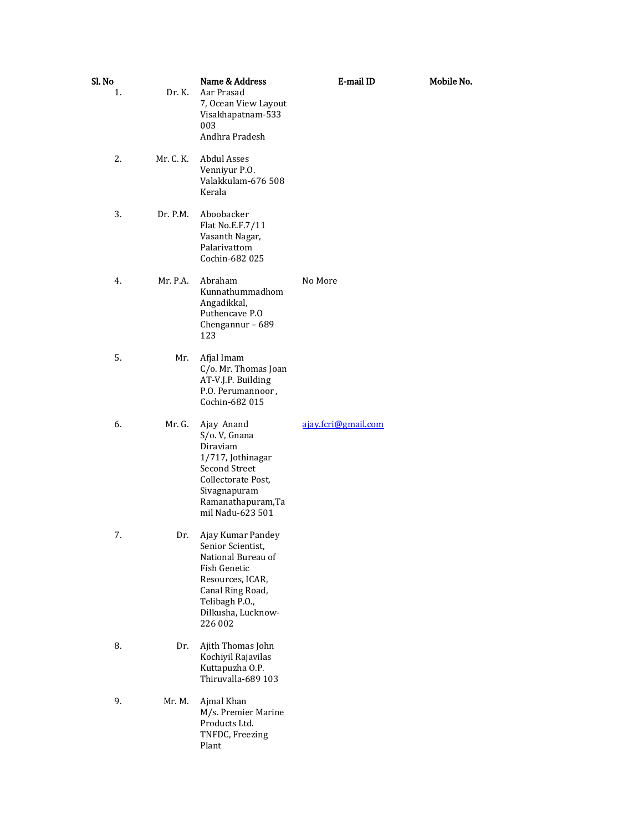| Sl. No<br>1. | Dr. K.    | Name & Address<br>Aar Prasad<br>7, Ocean View Layout<br>Visakhapatnam-533<br>003<br>Andhra Pradesh                                                                      | E-mail ID           | Mobile No. |
|--------------|-----------|-------------------------------------------------------------------------------------------------------------------------------------------------------------------------|---------------------|------------|
| 2.           | Mr. C. K. | Abdul Asses<br>Venniyur P.O.<br>Valakkulam-676 508<br>Kerala                                                                                                            |                     |            |
| 3.           | Dr. P.M.  | Aboobacker<br>Flat No.E.F.7/11<br>Vasanth Nagar,<br>Palarivattom<br>Cochin-682 025                                                                                      |                     |            |
| 4.           | Mr. P.A.  | Abraham<br>Kunnathummadhom<br>Angadikkal,<br>Puthencave P.O<br>Chengannur - 689<br>123                                                                                  | No More             |            |
| 5.           | Mr.       | Afjal Imam<br>C/o. Mr. Thomas Joan<br>AT-V.J.P. Building<br>P.O. Perumannoor,<br>Cochin-682 015                                                                         |                     |            |
| 6.           | Mr. G.    | Ajay Anand<br>S/o.V, Gnana<br>Diraviam<br>1/717, Jothinagar<br>Second Street<br>Collectorate Post,<br>Sivagnapuram<br>Ramanathapuram, Ta<br>mil Nadu-623 501            | ajay.fcri@gmail.com |            |
| 7.           | Dr.       | Ajay Kumar Pandey<br>Senior Scientist,<br>National Bureau of<br>Fish Genetic<br>Resources, ICAR,<br>Canal Ring Road,<br>Telibagh P.O.,<br>Dilkusha, Lucknow-<br>226 002 |                     |            |
| 8.           | Dr.       | Ajith Thomas John<br>Kochiyil Rajavilas<br>Kuttapuzha O.P.<br>Thiruvalla-689 103                                                                                        |                     |            |
| 9.           | Mr. M.    | Ajmal Khan<br>M/s. Premier Marine<br>Products Ltd.<br>TNFDC, Freezing<br>Plant                                                                                          |                     |            |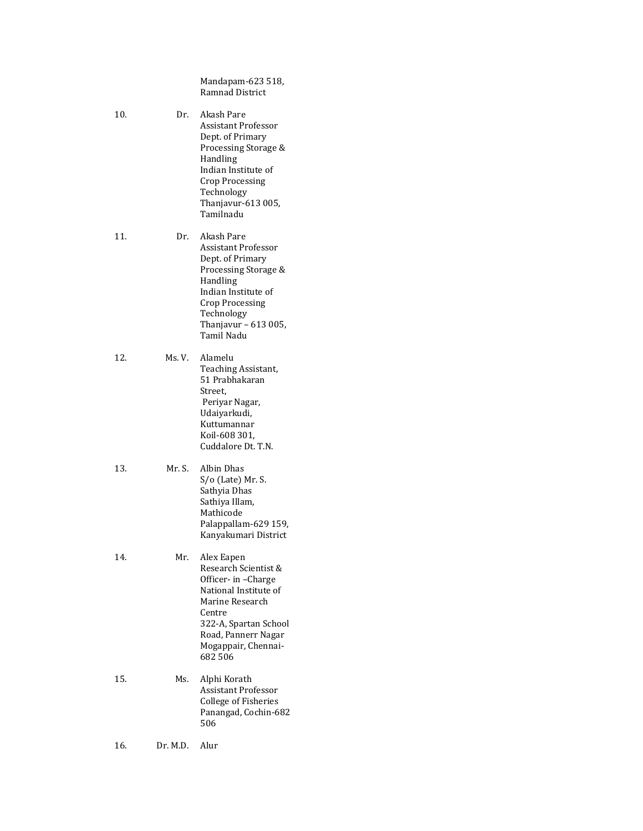Mandapam-623 518, Ramnad District

10. Dr. Akash Pare Assistant Professor Dept. of Primary Processing Storage & Handling Indian Institute of Crop Processing Technology Thanjavur-613 005, Tamilnadu

11. Dr. Akash Pare Assistant Professor Dept. of Primary Processing Storage & Handling Indian Institute of Crop Processing Technology Thanjavur – 613 005, Tamil Nadu

- 12. Ms. V. Alamelu Teaching Assistant, 51 Prabhakaran Street, Periyar Nagar, Udaiyarkudi, Kuttumannar Koil-608 301, Cuddalore Dt. T.N.
- 13. Mr. S. Albin Dhas S/o (Late) Mr. S. Sathyia Dhas Sathiya Illam, Mathicode Palappallam-629 159, Kanyakumari District
- 14. Mr. Alex Eapen Research Scientist & Officer- in –Charge National Institute of Marine Research Centre 322-A, Spartan School Road, Pannerr Nagar Mogappair, Chennai-682 506
- 15. Ms. Alphi Korath Assistant Professor College of Fisheries Panangad, Cochin-682 506
- 16. Dr. M.D. Alur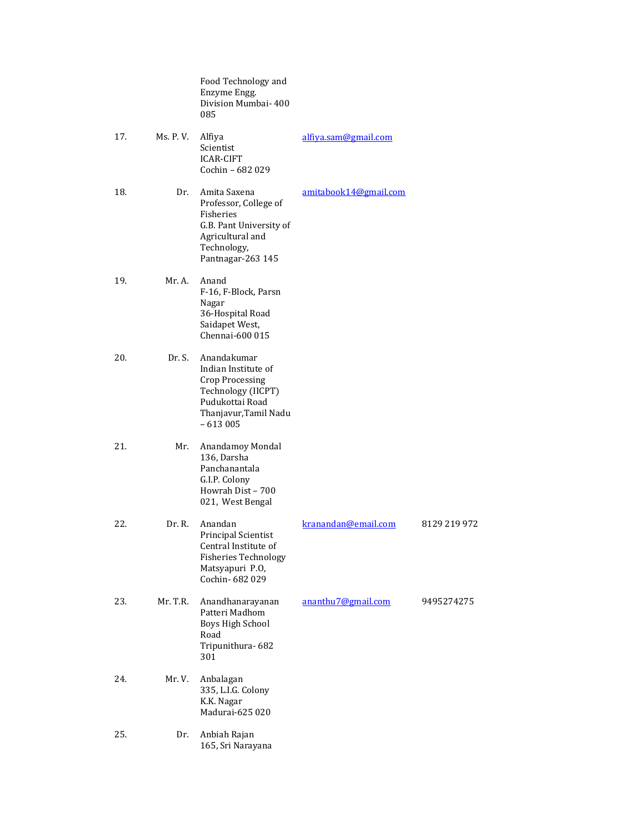|     |           | Food Technology and<br>Enzyme Engg.<br>Division Mumbai- 400<br>085                                                                          |                       |              |
|-----|-----------|---------------------------------------------------------------------------------------------------------------------------------------------|-----------------------|--------------|
| 17. | Ms. P. V. | Alfiya<br>Scientist<br><b>ICAR-CIFT</b><br>Cochin - 682 029                                                                                 | alfiya.sam@gmail.com  |              |
| 18. | Dr.       | Amita Saxena<br>Professor, College of<br>Fisheries<br>G.B. Pant University of<br>Agricultural and<br>Technology,<br>Pantnagar-263 145       | amitabook14@gmail.com |              |
| 19. | Mr. A.    | Anand<br>F-16, F-Block, Parsn<br>Nagar<br>36-Hospital Road<br>Saidapet West,<br>Chennai-600 015                                             |                       |              |
| 20. | Dr. S.    | Anandakumar<br>Indian Institute of<br><b>Crop Processing</b><br>Technology (IICPT)<br>Pudukottai Road<br>Thanjavur, Tamil Nadu<br>$-613005$ |                       |              |
| 21. | Mr.       | Anandamoy Mondal<br>136, Darsha<br>Panchanantala<br>G.I.P. Colony<br>Howrah Dist - 700<br>021, West Bengal                                  |                       |              |
| 22. | Dr. R.    | Anandan<br><b>Principal Scientist</b><br>Central Institute of<br><b>Fisheries Technology</b><br>Matsyapuri P.O,<br>Cochin-682029            | kranandan@email.com   | 8129 219 972 |
| 23. | Mr. T.R.  | Anandhanarayanan<br>Patteri Madhom<br>Boys High School<br>Road<br>Tripunithura-682<br>301                                                   | ananthu7@gmail.com    | 9495274275   |
| 24. | Mr.V.     | Anbalagan<br>335, L.I.G. Colony<br>K.K. Nagar<br>Madurai-625 020                                                                            |                       |              |
| 25. | Dr.       | Anbiah Rajan<br>165, Sri Narayana                                                                                                           |                       |              |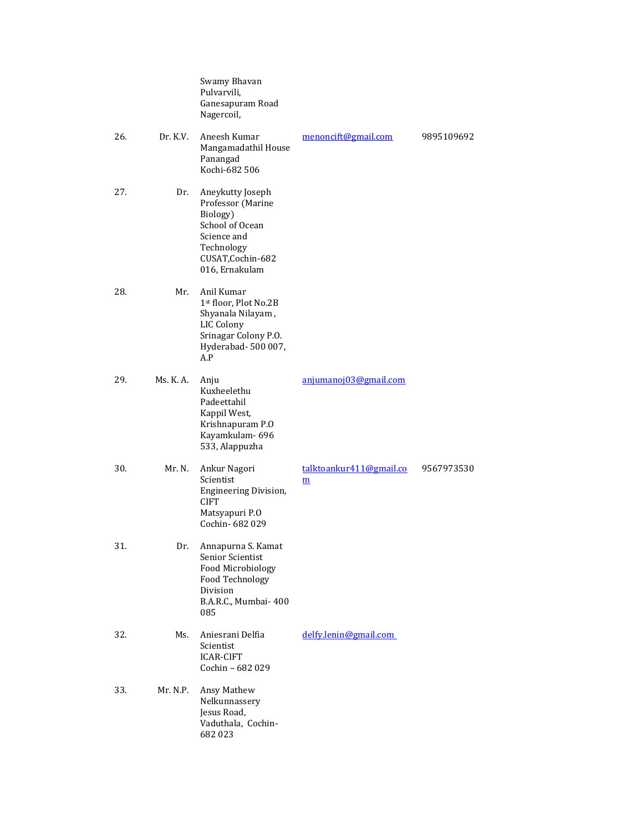|     |           | Swamy Bhavan<br>Pulvarvili,<br>Ganesapuram Road<br>Nagercoil,                                                                            |                                                     |            |
|-----|-----------|------------------------------------------------------------------------------------------------------------------------------------------|-----------------------------------------------------|------------|
| 26. | Dr. K.V.  | Aneesh Kumar<br>Mangamadathil House<br>Panangad<br>Kochi-682 506                                                                         | menoncift@gmail.com                                 | 9895109692 |
| 27. | Dr.       | Aneykutty Joseph<br>Professor (Marine<br>Biology)<br>School of Ocean<br>Science and<br>Technology<br>CUSAT, Cochin-682<br>016, Ernakulam |                                                     |            |
| 28. | Mr.       | Anil Kumar<br>1st floor, Plot No.2B<br>Shyanala Nilayam,<br>LIC Colony<br>Srinagar Colony P.O.<br>Hyderabad-500 007,<br>A.P              |                                                     |            |
| 29. | Ms. K. A. | Anju<br>Kuxheelethu<br>Padeettahil<br>Kappil West,<br>Krishnapuram P.O<br>Kayamkulam-696<br>533, Alappuzha                               | anjumanoj03@gmail.com                               |            |
| 30. | Mr. N.    | Ankur Nagori<br>Scientist<br><b>Engineering Division,</b><br><b>CIFT</b><br>Matsyapuri P.O<br>Cochin-682029                              | talktoankur411@gmail.co<br>$\underline{\mathbf{m}}$ | 9567973530 |
| 31. | Dr.       | Annapurna S. Kamat<br>Senior Scientist<br>Food Microbiology<br>Food Technology<br>Division<br>B.A.R.C., Mumbai- 400<br>085               |                                                     |            |
| 32. | Ms.       | Aniesrani Delfia<br>Scientist<br><b>ICAR-CIFT</b><br>Cochin - 682 029                                                                    | delfy.lenin@gmail.com                               |            |
| 33. | Mr. N.P.  | Ansy Mathew<br>Nelkunnassery<br>Jesus Road,<br>Vaduthala, Cochin-<br>682023                                                              |                                                     |            |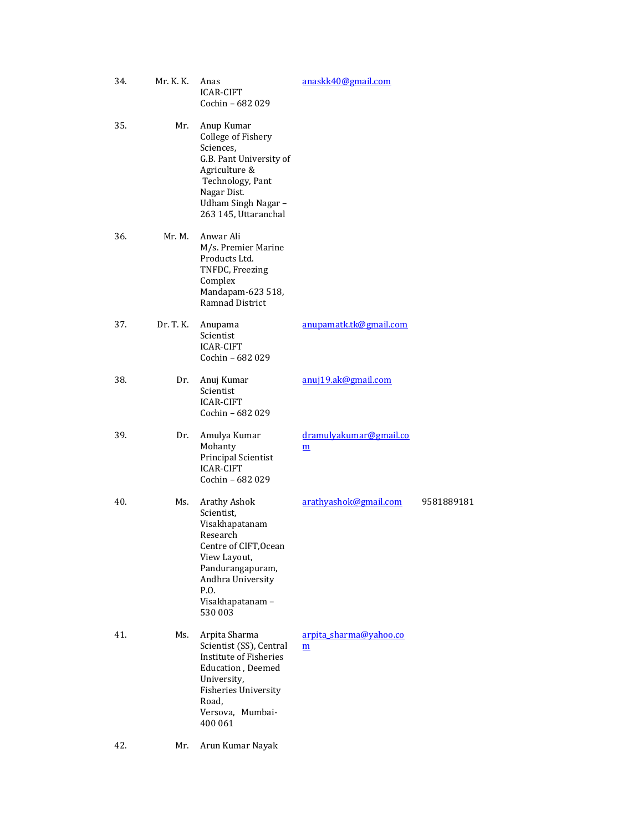| 34. | Mr. K. K. | Anas<br><b>ICAR-CIFT</b><br>Cochin - 682 029                                                                                                                                          | anaskk40@gmail.com                        |            |
|-----|-----------|---------------------------------------------------------------------------------------------------------------------------------------------------------------------------------------|-------------------------------------------|------------|
| 35. | Mr.       | Anup Kumar<br>College of Fishery<br>Sciences,<br>G.B. Pant University of<br>Agriculture &<br>Technology, Pant<br>Nagar Dist.<br>Udham Singh Nagar -<br>263 145, Uttaranchal           |                                           |            |
| 36. | Mr. M.    | Anwar Ali<br>M/s. Premier Marine<br>Products Ltd.<br>TNFDC, Freezing<br>Complex<br>Mandapam-623 518,<br>Ramnad District                                                               |                                           |            |
| 37. | Dr. T. K. | Anupama<br>Scientist<br><b>ICAR-CIFT</b><br>Cochin - 682 029                                                                                                                          | anupamatk.tk@gmail.com                    |            |
| 38. | Dr.       | Anuj Kumar<br>Scientist<br><b>ICAR-CIFT</b><br>Cochin - 682 029                                                                                                                       | anuj19.ak@gmail.com                       |            |
| 39. | Dr.       | Amulya Kumar<br>Mohanty<br>Principal Scientist<br><b>ICAR-CIFT</b><br>Cochin - 682 029                                                                                                | dramulyakumar@gmail.co<br>m               |            |
| 40. | Ms.       | Arathy Ashok<br>Scientist,<br>Visakhapatanam<br>Research<br>Centre of CIFT, Ocean<br>View Layout,<br>Pandurangapuram,<br>Andhra University<br>P.O.<br>Visakhapatanam-<br>530 003      | arathyashok@gmail.com                     | 9581889181 |
| 41. | Ms.       | Arpita Sharma<br>Scientist (SS), Central<br>Institute of Fisheries<br><b>Education</b> , Deemed<br>University,<br><b>Fisheries University</b><br>Road,<br>Versova, Mumbai-<br>400 061 | arpita_sharma@yahoo.co<br>$\underline{m}$ |            |
| 42. | Mr.       | Arun Kumar Nayak                                                                                                                                                                      |                                           |            |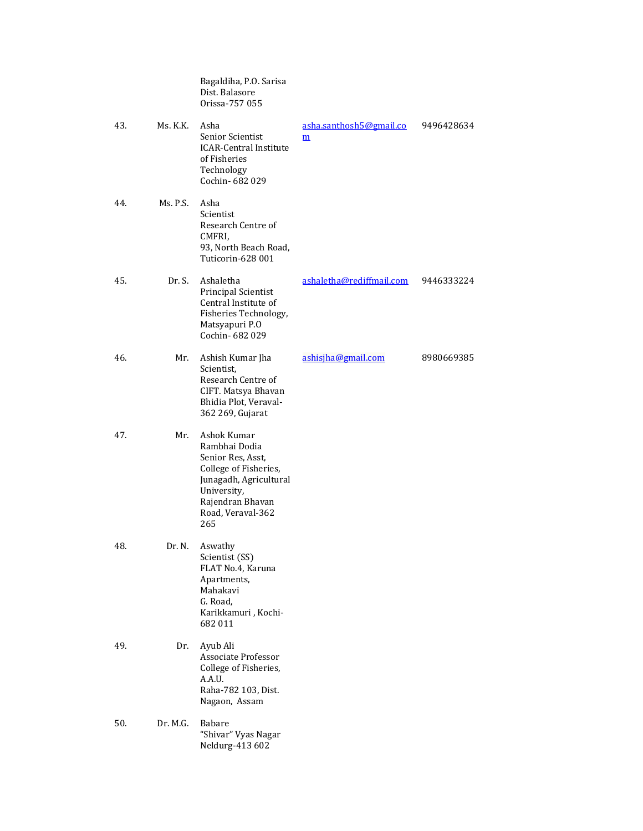|     |          | Bagaldiha, P.O. Sarisa<br>Dist. Balasore<br>Orissa-757 055                                                                                                          |                              |            |
|-----|----------|---------------------------------------------------------------------------------------------------------------------------------------------------------------------|------------------------------|------------|
| 43. | Ms. K.K. | Asha<br>Senior Scientist<br><b>ICAR-Central Institute</b><br>of Fisheries<br>Technology<br>Cochin-682029                                                            | asha.santhosh5@gmail.co<br>m | 9496428634 |
| 44. | Ms. P.S. | Asha<br>Scientist<br>Research Centre of<br>CMFRI,<br>93, North Beach Road,<br>Tuticorin-628 001                                                                     |                              |            |
| 45. | Dr. S.   | Ashaletha<br>Principal Scientist<br>Central Institute of<br>Fisheries Technology,<br>Matsyapuri P.O<br>Cochin- 682 029                                              | ashaletha@rediffmail.com     | 9446333224 |
| 46. | Mr.      | Ashish Kumar Jha<br>Scientist,<br>Research Centre of<br>CIFT. Matsya Bhavan<br>Bhidia Plot, Veraval-<br>362 269, Gujarat                                            | ashisiha@gmail.com           | 8980669385 |
| 47. | Mr.      | Ashok Kumar<br>Rambhai Dodia<br>Senior Res, Asst,<br>College of Fisheries,<br>Junagadh, Agricultural<br>University,<br>Rajendran Bhavan<br>Road, Veraval-362<br>265 |                              |            |
| 48. | Dr. N.   | Aswathy<br>Scientist (SS)<br>FLAT No.4, Karuna<br>Apartments,<br>Mahakavi<br>G. Road,<br>Karikkamuri, Kochi-<br>682011                                              |                              |            |
| 49. | Dr.      | Ayub Ali<br>Associate Professor<br>College of Fisheries,<br>A.A.U.<br>Raha-782 103, Dist.<br>Nagaon, Assam                                                          |                              |            |
| 50. | Dr. M.G. | Babare<br>"Shivar" Vyas Nagar<br>Neldurg-413 602                                                                                                                    |                              |            |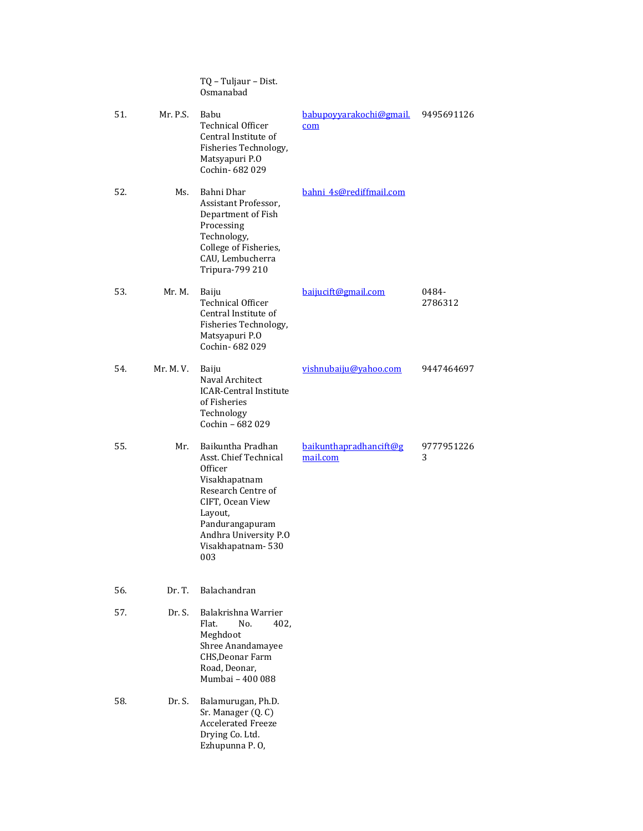|     |           | TQ - Tuljaur - Dist.<br>Osmanabad                                                                                                                                                                   |                                    |                  |
|-----|-----------|-----------------------------------------------------------------------------------------------------------------------------------------------------------------------------------------------------|------------------------------------|------------------|
| 51. | Mr. P.S.  | Babu<br>Technical Officer<br>Central Institute of<br>Fisheries Technology,<br>Matsyapuri P.O<br>Cochin- 682 029                                                                                     | babupovyarakochi@gmail.<br>com     | 9495691126       |
| 52. | Ms.       | Bahni Dhar<br>Assistant Professor,<br>Department of Fish<br>Processing<br>Technology,<br>College of Fisheries,<br>CAU, Lembucherra<br>Tripura-799 210                                               | bahni 4s@rediffmail.com            |                  |
| 53. | Mr. M.    | Baiju<br><b>Technical Officer</b><br>Central Institute of<br>Fisheries Technology,<br>Matsyapuri P.O<br>Cochin-682029                                                                               | baijucift@gmail.com                | 0484-<br>2786312 |
| 54. | Mr. M. V. | Baiju<br>Naval Architect<br><b>ICAR-Central Institute</b><br>of Fisheries<br>Technology<br>Cochin - 682 029                                                                                         | vishnubaiju@vahoo.com              | 9447464697       |
| 55. | Mr.       | Baikuntha Pradhan<br>Asst. Chief Technical<br>Officer<br>Visakhapatnam<br>Research Centre of<br>CIFT, Ocean View<br>Layout,<br>Pandurangapuram<br>Andhra University P.O<br>Visakhapatnam-530<br>003 | baikunthapradhancift@g<br>mail.com | 9777951226<br>3  |
| 56. | Dr. T.    | Balachandran                                                                                                                                                                                        |                                    |                  |
| 57. | Dr. S.    | Balakrishna Warrier<br>Flat.<br>No.<br>402.<br>Meghdoot<br>Shree Anandamayee<br>CHS, Deonar Farm<br>Road, Deonar,<br>Mumbai - 400 088                                                               |                                    |                  |
| 58. | Dr. S.    | Balamurugan, Ph.D.<br>Sr. Manager (Q. C)<br><b>Accelerated Freeze</b><br>Drying Co. Ltd.<br>Ezhupunna P.O,                                                                                          |                                    |                  |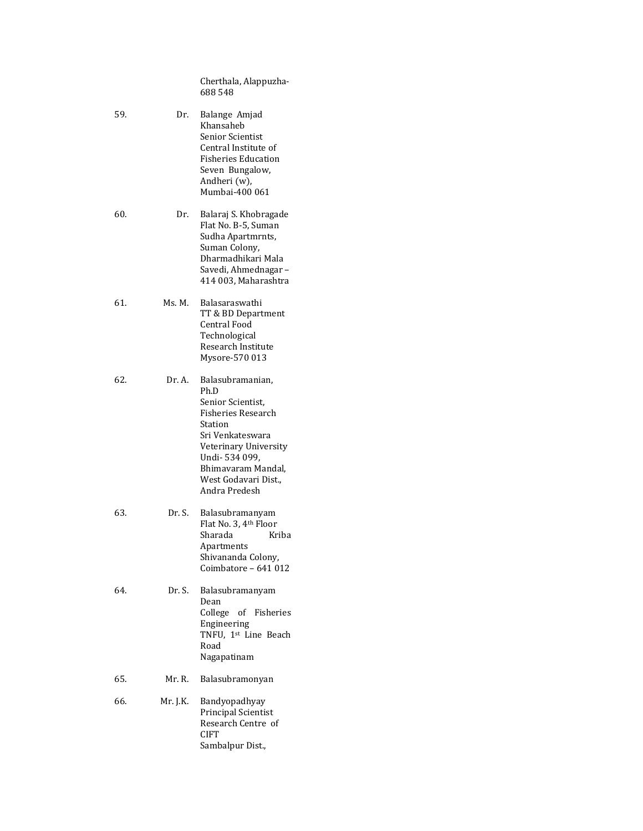Cherthala, Alappuzha-688 548

59. Dr. Balange Amjad Khansaheb Senior Scientist Central Institute of Fisheries Education Seven Bungalow, Andheri (w), Mumbai-400 061 60. Dr. Balaraj S. Khobragade Flat No. B-5, Suman Sudha Apartmrnts, Suman Colony, Dharmadhikari Mala Savedi, Ahmednagar – 414 003, Maharashtra 61. Ms. M. Balasaraswathi TT & BD Department Central Food Technological Research Institute Mysore-570 013 62. Dr. A. Balasubramanian, Ph.D Senior Scientist, Fisheries Research Station Sri Venkateswara Veterinary University Undi- 534 099, Bhimavaram Mandal, West Godavari Dist., Andra Predesh 63. Dr. S. Balasubramanyam Flat No. 3, 4th Floor Sharada Kriba Apartments Shivananda Colony, Coimbatore – 641 012 64. Dr. S. Balasubramanyam Dean College of Fisheries Engineering TNFU, 1st Line Beach Road Nagapatinam 65. Mr. R. Balasubramonyan 66. Mr. J.K. Bandyopadhyay Principal Scientist Research Centre of CIFT Sambalpur Dist.,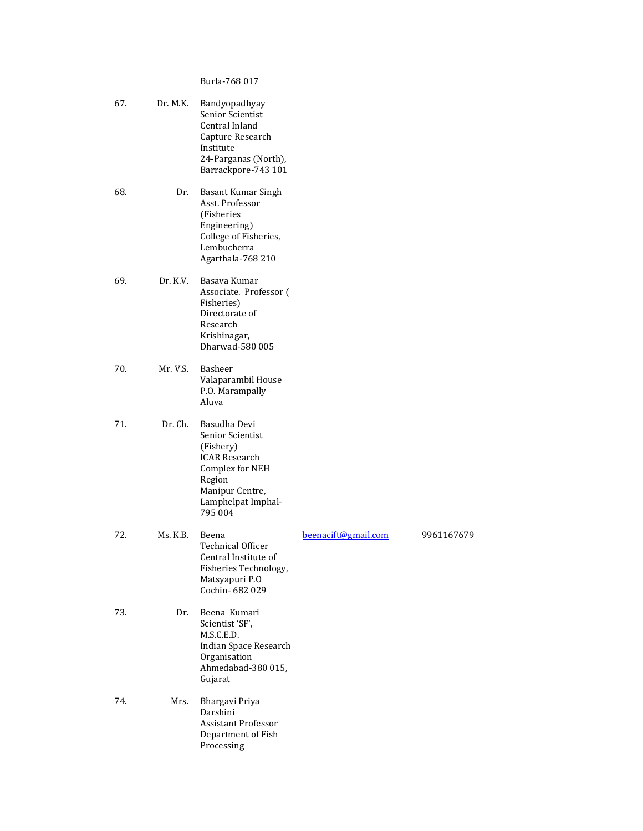# Burla-768 017

| 67. | Dr. M.K. | Bandyopadhyay<br>Senior Scientist<br>Central Inland<br>Capture Research<br>Institute<br>24-Parganas (North),<br>Barrackpore-743 101                    |                     |            |
|-----|----------|--------------------------------------------------------------------------------------------------------------------------------------------------------|---------------------|------------|
| 68. | Dr.      | Basant Kumar Singh<br>Asst. Professor<br>(Fisheries<br>Engineering)<br>College of Fisheries,<br>Lembucherra<br>Agarthala-768 210                       |                     |            |
| 69. | Dr. K.V. | Basava Kumar<br>Associate. Professor (<br>Fisheries)<br>Directorate of<br>Research<br>Krishinagar,<br>Dharwad-580 005                                  |                     |            |
| 70. | Mr. V.S. | Basheer<br>Valaparambil House<br>P.O. Marampally<br>Aluva                                                                                              |                     |            |
| 71. | Dr. Ch.  | Basudha Devi<br>Senior Scientist<br>(Fishery)<br><b>ICAR Research</b><br>Complex for NEH<br>Region<br>Manipur Centre,<br>Lamphelpat Imphal-<br>795 004 |                     |            |
| 72. | Ms. K.B. | Beena<br><b>Technical Officer</b><br>Central Institute of<br>Fisheries Technology,<br>Matsyapuri P.O<br>Cochin-682029                                  | beenacift@gmail.com | 9961167679 |
| 73. | Dr.      | Beena Kumari<br>Scientist 'SF',<br>M.S.C.E.D.<br>Indian Space Research<br>Organisation<br>Ahmedabad-380 015,<br>Gujarat                                |                     |            |
| 74. | Mrs.     | Bhargavi Priya<br>Darshini<br><b>Assistant Professor</b><br>Department of Fish<br>Processing                                                           |                     |            |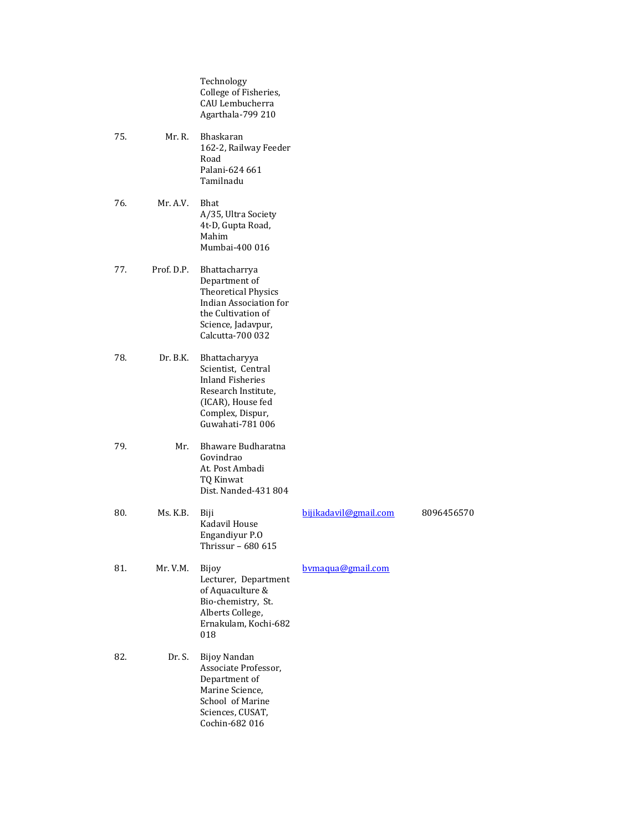Technology College of Fisheries, CAU Lembucherra Agarthala-799 210

- 75. Mr. R. Bhaskaran 162-2, Railway Feeder Road Palani-624 661 Tamilnadu
- 76. Mr. A.V. Bhat A/35, Ultra Society 4t-D, Gupta Road, Mahim Mumbai-400 016
- 77. Prof. D.P. Bhattacharrya Department of Theoretical Physics Indian Association for the Cultivation of Science, Jadavpur, Calcutta-700 032
- 78. Dr. B.K. Bhattacharyya Scientist, Central Inland Fisheries Research Institute, (ICAR), House fed Complex, Dispur, Guwahati-781 006
- 79. Mr. Bhaware Budharatna Govindrao At. Post Ambadi TQ Kinwat Dist. Nanded-431 804

| 80. | Ms. K.B. | Biji<br>Kadavil House<br>Engandiyur P.O<br>Thrissur – 680 615                                                                      | bijikadavil@gmail.com | 8096456570 |
|-----|----------|------------------------------------------------------------------------------------------------------------------------------------|-----------------------|------------|
| 81. | Mr. V.M. | Bijoy<br>Lecturer, Department<br>of Aquaculture &<br>Bio-chemistry, St.<br>Alberts College,<br>Ernakulam, Kochi-682<br>018         | bymagua@gmail.com     |            |
| 82. | Dr. S.   | Bijoy Nandan<br>Associate Professor,<br>Department of<br>Marine Science,<br>School of Marine<br>Sciences, CUSAT,<br>Cochin-682 016 |                       |            |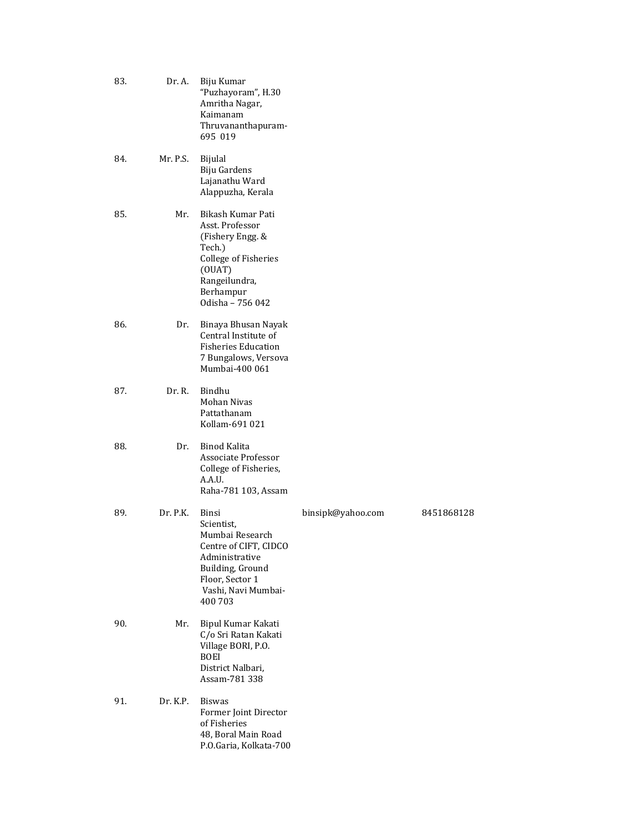| 83. | Dr. A.   | Biju Kumar<br>"Puzhayoram", H.30<br>Amritha Nagar,<br>Kaimanam<br>Thruvananthapuram-<br>695 019                                                               |                   |            |
|-----|----------|---------------------------------------------------------------------------------------------------------------------------------------------------------------|-------------------|------------|
| 84. | Mr. P.S. | Bijulal<br>Biju Gardens<br>Lajanathu Ward<br>Alappuzha, Kerala                                                                                                |                   |            |
| 85. | Mr.      | Bikash Kumar Pati<br>Asst. Professor<br>(Fishery Engg. &<br>Tech.)<br><b>College of Fisheries</b><br>(OUAT)<br>Rangeilundra,<br>Berhampur<br>Odisha - 756 042 |                   |            |
| 86. | Dr.      | Binaya Bhusan Nayak<br>Central Institute of<br><b>Fisheries Education</b><br>7 Bungalows, Versova<br>Mumbai-400 061                                           |                   |            |
| 87. | Dr. R.   | Bindhu<br>Mohan Nivas<br>Pattathanam<br>Kollam-691 021                                                                                                        |                   |            |
| 88. | Dr.      | Binod Kalita<br>Associate Professor<br>College of Fisheries,<br>A.A.U.<br>Raha-781 103, Assam                                                                 |                   |            |
| 89. | Dr. P.K. | Binsi<br>Scientist,<br>Mumbai Research<br>Centre of CIFT, CIDCO<br>Administrative<br>Building, Ground<br>Floor, Sector 1<br>Vashi, Navi Mumbai-<br>400 703    | binsipk@yahoo.com | 8451868128 |
| 90. | Mr.      | Bipul Kumar Kakati<br>C/o Sri Ratan Kakati<br>Village BORI, P.O.<br><b>BOEI</b><br>District Nalbari,<br>Assam-781 338                                         |                   |            |
| 91. | Dr. K.P. | <b>Biswas</b><br>Former Joint Director<br>of Fisheries<br>48, Boral Main Road<br>P.O.Garia, Kolkata-700                                                       |                   |            |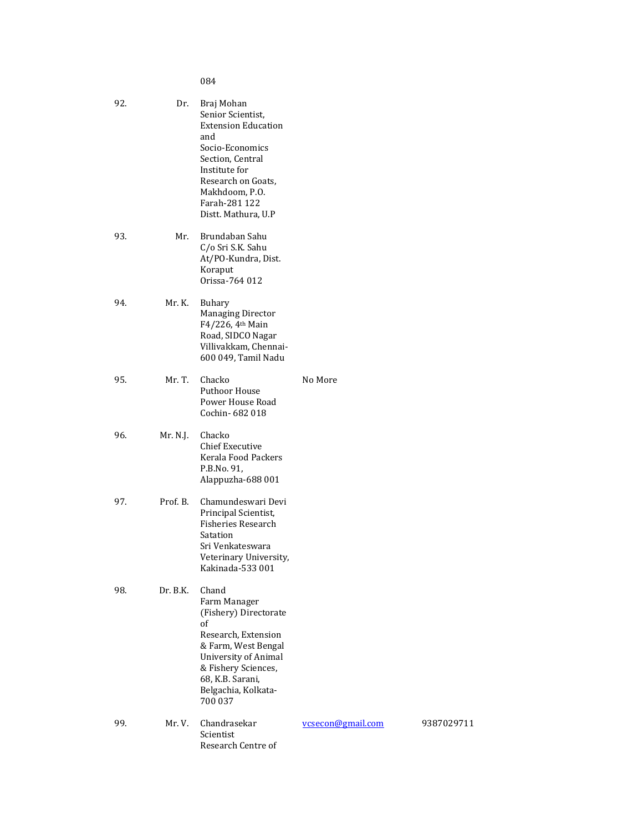084

| 92. | Dr.      | Braj Mohan<br>Senior Scientist,<br><b>Extension Education</b><br>and<br>Socio-Economics<br>Section, Central<br>Institute for<br>Research on Goats,<br>Makhdoom, P.O.<br>Farah-281 122<br>Distt. Mathura, U.P |                   |
|-----|----------|--------------------------------------------------------------------------------------------------------------------------------------------------------------------------------------------------------------|-------------------|
| 93. | Mr.      | Brundaban Sahu<br>C/o Sri S.K. Sahu<br>At/PO-Kundra, Dist.<br>Koraput<br>Orissa-764 012                                                                                                                      |                   |
| 94. | Mr. K.   | Buhary<br><b>Managing Director</b><br>F4/226, 4th Main<br>Road, SIDCO Nagar<br>Villivakkam, Chennai-<br>600 049, Tamil Nadu                                                                                  |                   |
| 95. | Mr. T.   | Chacko<br>Puthoor House<br>Power House Road<br>Cochin-682018                                                                                                                                                 | No More           |
| 96. | Mr. N.J. | Chacko<br><b>Chief Executive</b><br>Kerala Food Packers<br>P.B.No. 91,<br>Alappuzha-688 001                                                                                                                  |                   |
| 97. | Prof. B. | Chamundeswari Devi<br>Principal Scientist,<br><b>Fisheries Research</b><br>Satation<br>Sri Venkateswara<br>Veterinary University,<br>Kakinada-533 001                                                        |                   |
| 98. | Dr. B.K. | Chand<br>Farm Manager<br>(Fishery) Directorate<br>of<br>Research, Extension<br>& Farm, West Bengal<br>University of Animal<br>& Fishery Sciences,<br>68, K.B. Sarani,<br>Belgachia, Kolkata-<br>700 037      |                   |
| 99. | Mr. V.   | Chandrasekar<br>Scientist<br>Research Centre of                                                                                                                                                              | vcsecon@gmail.com |

[vcsecon@gmail.com](mailto:vcsecon@gmail.com) 9387029711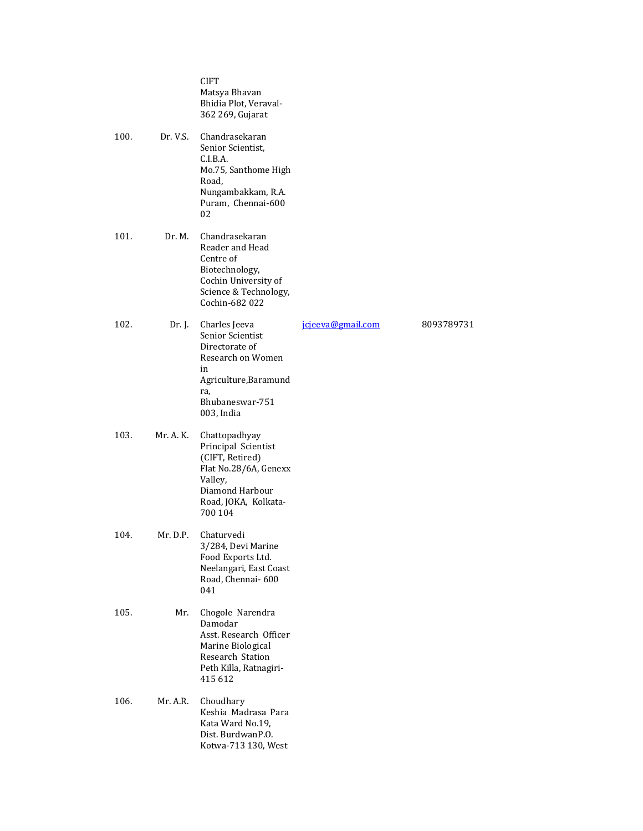|      |           | <b>CIFT</b><br>Matsya Bhavan<br>Bhidia Plot, Veraval-<br>362 269, Gujarat                                                                         |                   |            |
|------|-----------|---------------------------------------------------------------------------------------------------------------------------------------------------|-------------------|------------|
| 100. | Dr. V.S.  | Chandrasekaran<br>Senior Scientist,<br>C.I.B.A.<br>Mo.75, Santhome High<br>Road,<br>Nungambakkam, R.A.<br>Puram, Chennai-600<br>02                |                   |            |
| 101. | Dr. M.    | Chandrasekaran<br>Reader and Head<br>Centre of<br>Biotechnology,<br>Cochin University of<br>Science & Technology,<br>Cochin-682 022               |                   |            |
| 102. | Dr. J.    | Charles Jeeva<br>Senior Scientist<br>Directorate of<br>Research on Women<br>in<br>Agriculture, Baramund<br>ra,<br>Bhubaneswar-751<br>003, India   | jcjeeva@gmail.com | 8093789731 |
| 103. | Mr. A. K. | Chattopadhyay<br>Principal Scientist<br>(CIFT, Retired)<br>Flat No.28/6A, Genexx<br>Valley,<br>Diamond Harbour<br>Road, JOKA, Kolkata-<br>700 104 |                   |            |
| 104. | Mr. D.P.  | Chaturvedi<br>3/284, Devi Marine<br>Food Exports Ltd.<br>Neelangari, East Coast<br>Road, Chennai-600<br>041                                       |                   |            |
| 105. | Mr.       | Chogole Narendra<br>Damodar<br>Asst. Research Officer<br>Marine Biological<br>Research Station<br>Peth Killa, Ratnagiri-<br>415 612               |                   |            |
| 106. | Mr. A.R.  | Choudhary<br>Keshia Madrasa Para<br>Kata Ward No.19,<br>Dist. BurdwanP.O.<br>Kotwa-713 130, West                                                  |                   |            |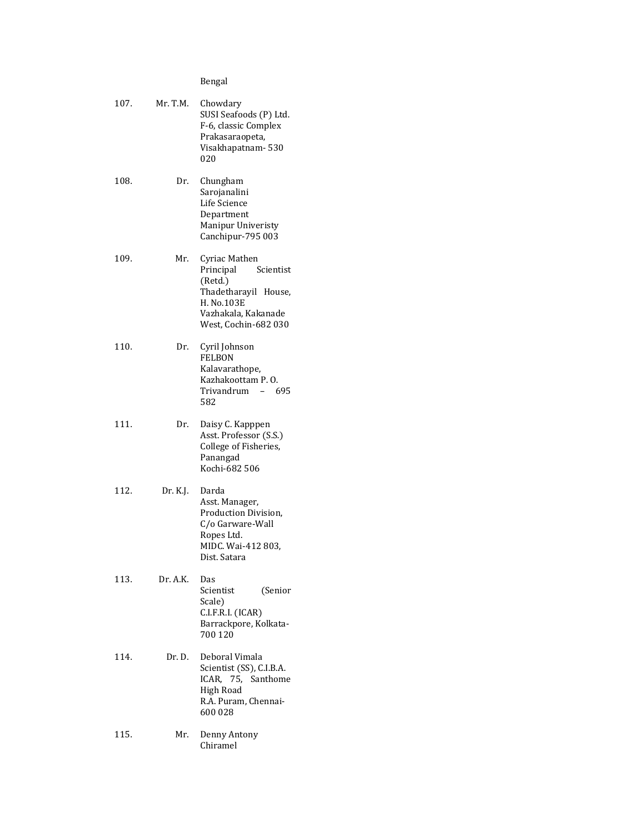# Bengal

| 107. | Mr. T.M. | Chowdary<br>SUSI Seafoods (P) Ltd.<br>F-6, classic Complex<br>Prakasaraopeta,<br>Visakhapatnam-530<br>020                               |
|------|----------|-----------------------------------------------------------------------------------------------------------------------------------------|
| 108. | Dr.      | Chungham<br>Sarojanalini<br>Life Science<br>Department<br>Manipur Univeristy<br>Canchipur-795 003                                       |
| 109. | Mr.      | Cyriac Mathen<br>Principal<br>Scientist<br>(Retd.)<br>Thadetharayil House,<br>H. No.103E<br>Vazhakala, Kakanade<br>West, Cochin-682 030 |
| 110. | Dr.      | Cyril Johnson<br><b>FELBON</b><br>Kalavarathope,<br>Kazhakoottam P.O.<br>Trivandrum<br>- 695<br>582                                     |
| 111. | Dr.      | Daisy C. Kapppen<br>Asst. Professor (S.S.)<br>College of Fisheries,<br>Panangad<br>Kochi-682 506                                        |
| 112. | Dr. K.J. | Darda<br>Asst. Manager,<br>Production Division,<br>C/o Garware-Wall<br>Ropes Ltd.<br>MIDC. Wai-412 803,<br>Dist. Satara                 |
| 113. | Dr. A.K. | Das<br>Scientist<br>(Senior<br>Scale)<br>C.I.F.R.I. (ICAR)<br>Barrackpore, Kolkata-<br>700 120                                          |
| 114. | Dr. D.   | Deboral Vimala<br>Scientist (SS), C.I.B.A.<br>ICAR, 75, Santhome<br>High Road<br>R.A. Puram, Chennai-<br>600 028                        |
| 115. | Mr.      | Denny Antony<br>Chiramel                                                                                                                |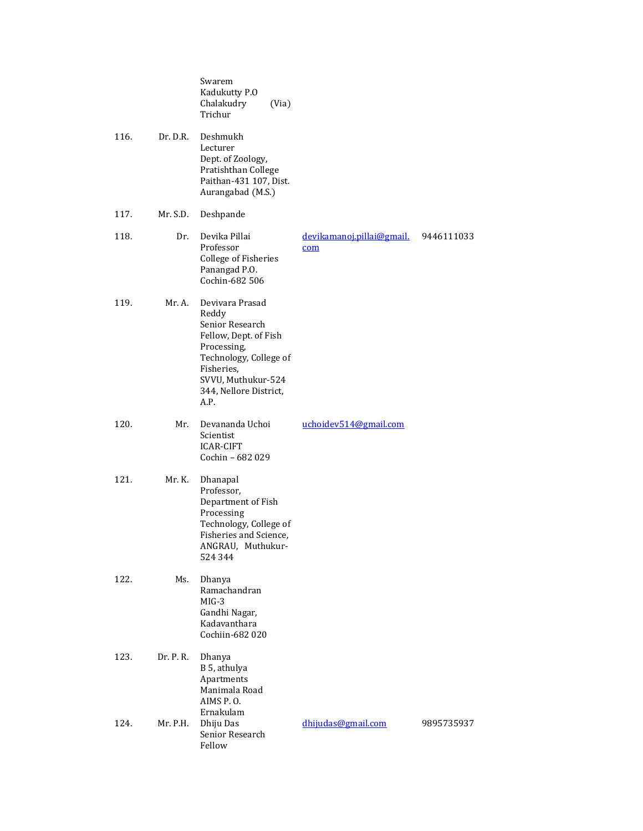|      |           | Swarem<br>Kadukutty P.O<br>Chalakudry<br>(Via)<br>Trichur                                                                                                                           |                                  |            |
|------|-----------|-------------------------------------------------------------------------------------------------------------------------------------------------------------------------------------|----------------------------------|------------|
| 116. | Dr. D.R.  | Deshmukh<br>Lecturer<br>Dept. of Zoology,<br>Pratishthan College<br>Paithan-431 107, Dist.<br>Aurangabad (M.S.)                                                                     |                                  |            |
| 117. | Mr. S.D.  | Deshpande                                                                                                                                                                           |                                  |            |
| 118. | Dr.       | Devika Pillai<br>Professor<br><b>College of Fisheries</b><br>Panangad P.O.<br>Cochin-682 506                                                                                        | devikamanoj.pillai@gmail.<br>com | 9446111033 |
| 119. | Mr. A.    | Devivara Prasad<br>Reddy<br>Senior Research<br>Fellow, Dept. of Fish<br>Processing,<br>Technology, College of<br>Fisheries,<br>SVVU, Muthukur-524<br>344, Nellore District,<br>A.P. |                                  |            |
| 120. | Mr.       | Devananda Uchoi<br>Scientist<br><b>ICAR-CIFT</b><br>Cochin - 682 029                                                                                                                | uchoidev514@gmail.com            |            |
| 121. | Mr. K.    | Dhanapal<br>Professor,<br>Department of Fish<br>Processing<br>Technology, College of<br>Fisheries and Science,<br>ANGRAU, Muthukur-<br>524 344                                      |                                  |            |
| 122. | Ms.       | Dhanya<br>Ramachandran<br>$MIG-3$<br>Gandhi Nagar,<br>Kadavanthara<br>Cochiin-682 020                                                                                               |                                  |            |
| 123. | Dr. P. R. | Dhanya<br>B 5, athulya<br>Apartments<br>Manimala Road<br>AIMS P.O.<br>Ernakulam                                                                                                     |                                  |            |
| 124. | Mr. P.H.  | Dhiju Das<br>Senior Research<br>Fellow                                                                                                                                              | dhijudas@gmail.com               | 9895735937 |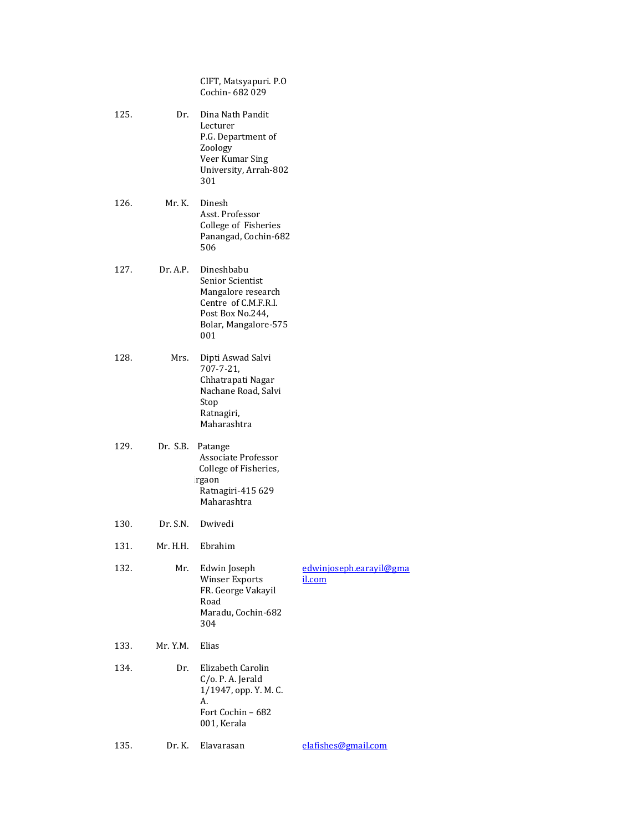CIFT, Matsyapuri. P.O Cochin- 682 029

- 125. Dr. Dina Nath Pandit Lecturer P.G. Department of Zoology Veer Kumar Sing University, Arrah-802 301
- 126. Mr. K. Dinesh Asst. Professor College of Fisheries Panangad, Cochin-682 506
- 127. Dr. A.P. Dineshbabu Senior Scientist Mangalore research Centre of C.M.F.R.I. Post Box No.244, Bolar, Mangalore-575 001
- 128. Mrs. Dipti Aswad Salvi 707-7-21, Chhatrapati Nagar Nachane Road, Salvi Stop Ratnagiri, Maharashtra
- 129. Dr. S.B. Patange Associate Professor College of Fisheries, irgaon Ra Ratnagiri-415 629 Maharashtra
- 130. Dr. S.N. Dwivedi
- 131. Mr. H.H. Ebrahim

| 132. | Mr.                                    | Edwin Joseph                         | edwinjoseph.earayil@gma |
|------|----------------------------------------|--------------------------------------|-------------------------|
|      |                                        | Winser Exports<br>FR. George Vakayil | il.com                  |
|      |                                        | Road                                 |                         |
|      |                                        | Maradu, Cochin-682                   |                         |
|      |                                        | 304                                  |                         |
| 100  | <b>A</b> <i>z XT</i> <b>A</b> <i>z</i> | $\mathbf{r}$                         |                         |

- 133. Mr. Y.M. Elias
- 134. Dr. Elizabeth Carolin C/o. P. A. Jerald 1/1947, opp. Y. M. C. A. Fort Cochin – 682 001, Kerala

### 135. Dr. K. Elavarasan elafishes@gmail.com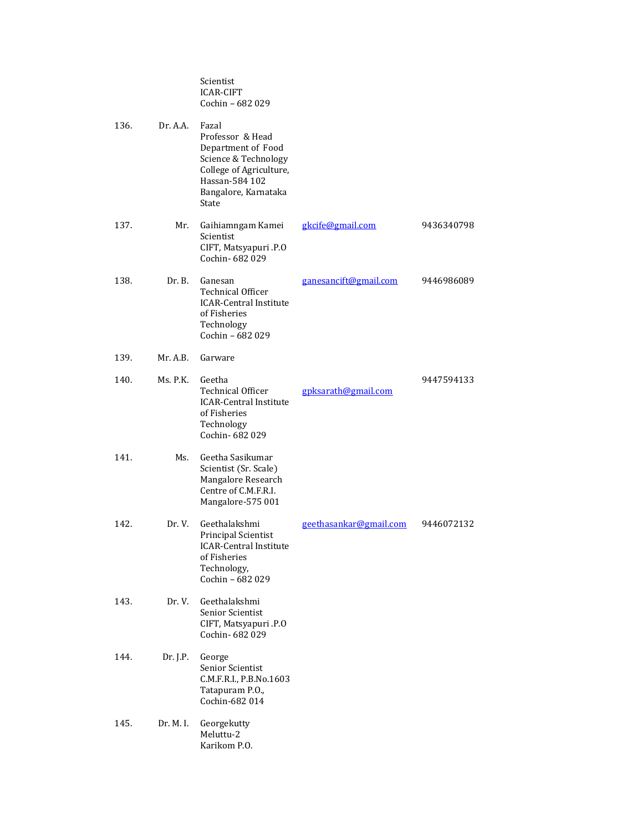|      |           | Scientist<br><b>ICAR-CIFT</b><br>Cochin - 682 029                                                                                                     |                        |            |
|------|-----------|-------------------------------------------------------------------------------------------------------------------------------------------------------|------------------------|------------|
| 136. | Dr. A.A.  | Fazal<br>Professor & Head<br>Department of Food<br>Science & Technology<br>College of Agriculture,<br>Hassan-584 102<br>Bangalore, Karnataka<br>State |                        |            |
| 137. | Mr.       | Gaihiamngam Kamei<br>Scientist<br>CIFT, Matsyapuri .P.O<br>Cochin-682029                                                                              | gkcife@gmail.com       | 9436340798 |
| 138. | Dr. B.    | Ganesan<br><b>Technical Officer</b><br><b>ICAR-Central Institute</b><br>of Fisheries<br>Technology<br>Cochin - 682 029                                | ganesancift@gmail.com  | 9446986089 |
| 139. | Mr. A.B.  | Garware                                                                                                                                               |                        |            |
| 140. | Ms. P.K.  | Geetha<br><b>Technical Officer</b><br><b>ICAR-Central Institute</b><br>of Fisheries<br>Technology<br>Cochin-682029                                    | gpksarath@gmail.com    | 9447594133 |
| 141. | Ms.       | Geetha Sasikumar<br>Scientist (Sr. Scale)<br>Mangalore Research<br>Centre of C.M.F.R.I.<br>Mangalore-575 001                                          |                        |            |
| 142. | Dr. V.    | Geethalakshmi<br>Principal Scientist<br><b>ICAR-Central Institute</b><br>of Fisheries<br>Technology,<br>Cochin - 682 029                              | geethasankar@gmail.com | 9446072132 |
| 143. | Dr.V.     | Geethalakshmi<br>Senior Scientist<br>CIFT, Matsyapuri .P.O<br>Cochin-682029                                                                           |                        |            |
| 144. | Dr. J.P.  | George<br>Senior Scientist<br>C.M.F.R.I., P.B.No.1603<br>Tatapuram P.O.,<br>Cochin-682 014                                                            |                        |            |
| 145. | Dr. M. I. | Georgekutty<br>Meluttu-2<br>Karikom P.O.                                                                                                              |                        |            |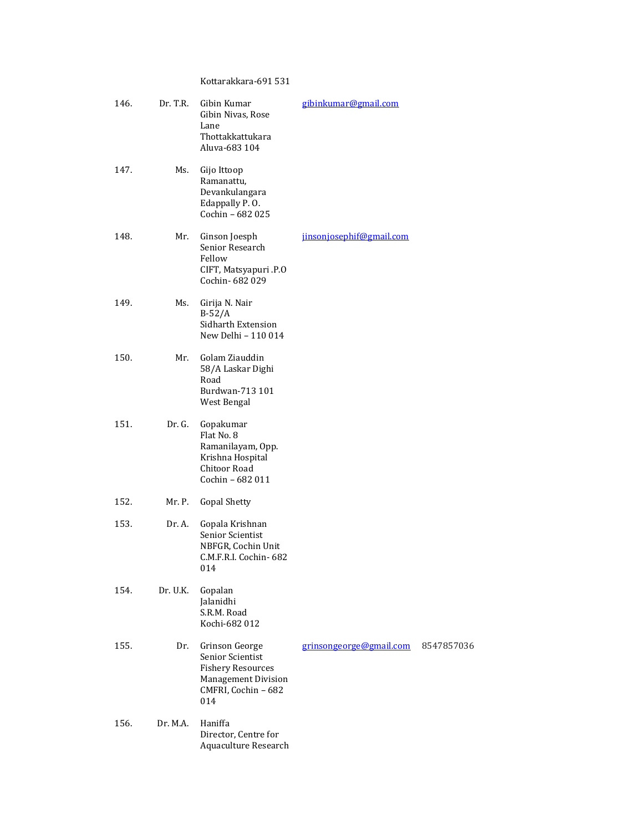# Kottarakkara-691 531

| 146. | Dr. T.R. | Gibin Kumar<br>Gibin Nivas, Rose<br>Lane<br>Thottakkattukara<br>Aluva-683 104                                              | gibinkumar@gmail.com     |            |
|------|----------|----------------------------------------------------------------------------------------------------------------------------|--------------------------|------------|
| 147. | Ms.      | Gijo Ittoop<br>Ramanattu,<br>Devankulangara<br>Edappally P.O.<br>Cochin - 682 025                                          |                          |            |
| 148. | Mr.      | Ginson Joesph<br>Senior Research<br>Fellow<br>CIFT, Matsyapuri .P.O<br>Cochin- 682 029                                     | jinsonjosephif@gmail.com |            |
| 149. | Ms.      | Girija N. Nair<br>$B-52/A$<br>Sidharth Extension<br>New Delhi - 110 014                                                    |                          |            |
| 150. | Mr.      | Golam Ziauddin<br>58/A Laskar Dighi<br>Road<br>Burdwan-713 101<br>West Bengal                                              |                          |            |
| 151. | Dr. G.   | Gopakumar<br>Flat No. 8<br>Ramanilayam, Opp.<br>Krishna Hospital<br>Chitoor Road<br>Cochin - 682 011                       |                          |            |
| 152. | Mr. P.   | <b>Gopal Shetty</b>                                                                                                        |                          |            |
| 153. | Dr. A.   | Gopala Krishnan<br>Senior Scientist<br>NBFGR, Cochin Unit<br>C.M.F.R.I. Cochin- 682<br>014                                 |                          |            |
| 154. | Dr. U.K. | Gopalan<br>Jalanidhi<br>S.R.M. Road<br>Kochi-682 012                                                                       |                          |            |
| 155. | Dr.      | Grinson George<br>Senior Scientist<br><b>Fishery Resources</b><br><b>Management Division</b><br>CMFRI, Cochin - 682<br>014 | grinsongeorge@gmail.com  | 8547857036 |
| 156. | Dr. M.A. | Haniffa<br>Director, Centre for<br>Aquaculture Research                                                                    |                          |            |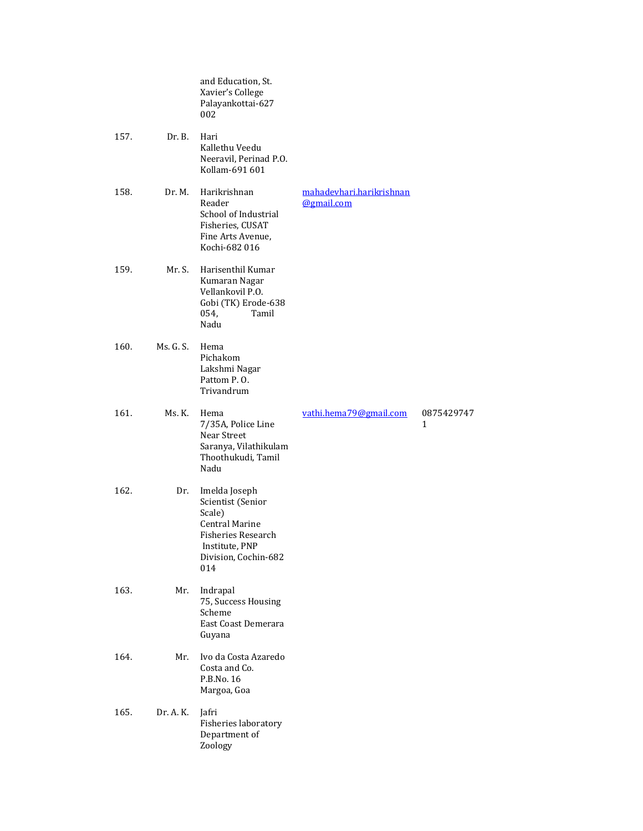|      |           | and Education, St.<br>Xavier's College<br>Palayankottai-627<br>002                                                                                  |                                        |                 |
|------|-----------|-----------------------------------------------------------------------------------------------------------------------------------------------------|----------------------------------------|-----------------|
| 157. | Dr. B.    | Hari<br>Kallethu Veedu<br>Neeravil, Perinad P.O.<br>Kollam-691 601                                                                                  |                                        |                 |
| 158. | Dr. M.    | Harikrishnan<br>Reader<br>School of Industrial<br>Fisheries, CUSAT<br>Fine Arts Avenue,<br>Kochi-682 016                                            | mahadevhari.harikrishnan<br>@gmail.com |                 |
| 159. | Mr. S.    | Harisenthil Kumar<br>Kumaran Nagar<br>Vellankovil P.O.<br>Gobi (TK) Erode-638<br>054,<br>Tamil<br>Nadu                                              |                                        |                 |
| 160. | Ms. G. S. | Hema<br>Pichakom<br>Lakshmi Nagar<br>Pattom P.O.<br>Trivandrum                                                                                      |                                        |                 |
| 161. | Ms. K.    | Hema<br>7/35A, Police Line<br>Near Street<br>Saranya, Vilathikulam<br>Thoothukudi, Tamil<br>Nadu                                                    | vathi.hema79@gmail.com                 | 0875429747<br>1 |
| 162. | Dr.       | Imelda Joseph<br>Scientist (Senior<br>Scale)<br><b>Central Marine</b><br><b>Fisheries Research</b><br>Institute, PNP<br>Division, Cochin-682<br>014 |                                        |                 |
| 163. | Mr.       | Indrapal<br>75, Success Housing<br>Scheme<br>East Coast Demerara<br>Guyana                                                                          |                                        |                 |
| 164. | Mr.       | Ivo da Costa Azaredo<br>Costa and Co.<br>P.B.No. 16<br>Margoa, Goa                                                                                  |                                        |                 |
| 165. | Dr. A. K. | Jafri<br>Fisheries laboratory<br>Department of<br>Zoology                                                                                           |                                        |                 |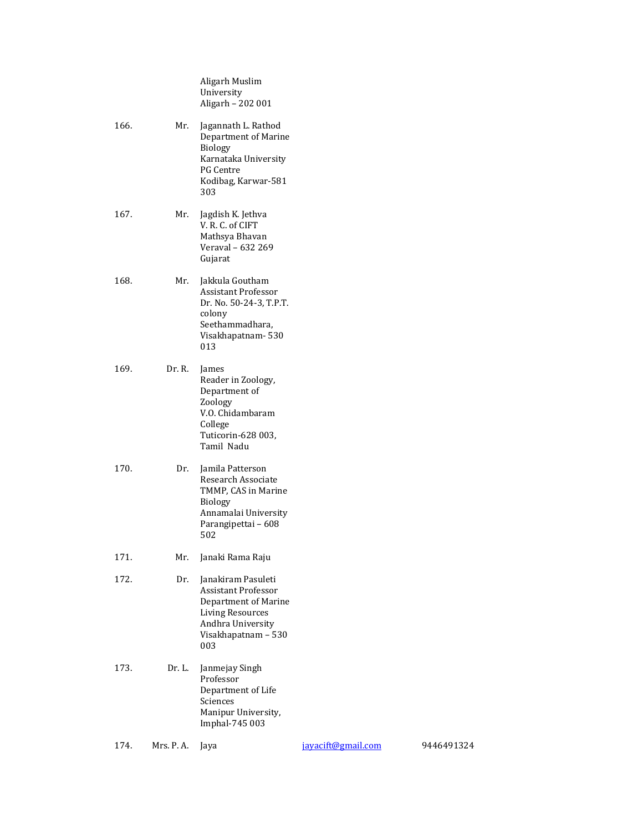|      |            | Aligarh Muslim<br>University<br>Aligarh - 202 001                                                                                                      |                    |            |
|------|------------|--------------------------------------------------------------------------------------------------------------------------------------------------------|--------------------|------------|
| 166. | Mr.        | Jagannath L. Rathod<br>Department of Marine<br><b>Biology</b><br>Karnataka University<br>PG Centre<br>Kodibag, Karwar-581<br>303                       |                    |            |
| 167. | Mr.        | Jagdish K. Jethva<br>V. R. C. of CIFT<br>Mathsya Bhavan<br>Veraval - 632 269<br>Gujarat                                                                |                    |            |
| 168. | Mr.        | Jakkula Goutham<br><b>Assistant Professor</b><br>Dr. No. 50-24-3, T.P.T.<br>colony<br>Seethammadhara,<br>Visakhapatnam-530<br>013                      |                    |            |
| 169. | Dr. R.     | James<br>Reader in Zoology,<br>Department of<br>Zoology<br>V.O. Chidambaram<br>College<br>Tuticorin-628 003,<br>Tamil Nadu                             |                    |            |
| 170. | Dr.        | Jamila Patterson<br>Research Associate<br>TMMP, CAS in Marine<br><b>Biology</b><br>Annamalai University<br>Parangipettai - 608<br>502                  |                    |            |
| 171. | Mr.        | Janaki Rama Raju                                                                                                                                       |                    |            |
| 172. | Dr.        | Janakiram Pasuleti<br><b>Assistant Professor</b><br>Department of Marine<br><b>Living Resources</b><br>Andhra University<br>Visakhapatnam - 530<br>003 |                    |            |
| 173. | Dr. L.     | Janmejay Singh<br>Professor<br>Department of Life<br>Sciences<br>Manipur University,<br>Imphal-745 003                                                 |                    |            |
| 174. | Mrs. P. A. | Jaya                                                                                                                                                   | jayacift@gmail.com | 9446491324 |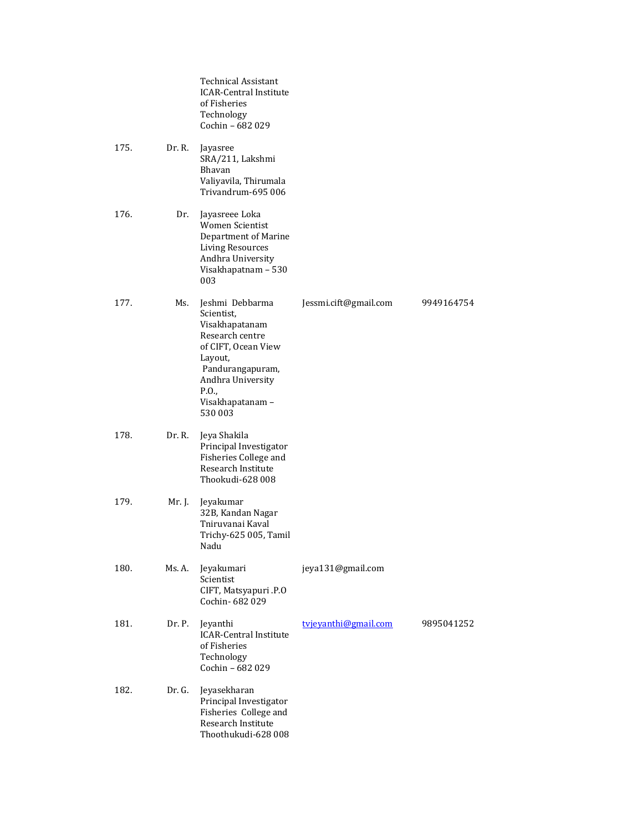|      |        | <b>Technical Assistant</b><br><b>ICAR-Central Institute</b><br>of Fisheries<br>Technology<br>Cochin - 682 029                                                                         |                       |            |
|------|--------|---------------------------------------------------------------------------------------------------------------------------------------------------------------------------------------|-----------------------|------------|
| 175. | Dr. R. | Jayasree<br>SRA/211, Lakshmi<br>Bhavan<br>Valiyavila, Thirumala<br>Trivandrum-695 006                                                                                                 |                       |            |
| 176. | Dr.    | Jayasreee Loka<br>Women Scientist<br>Department of Marine<br><b>Living Resources</b><br>Andhra University<br>Visakhapatnam - 530<br>003                                               |                       |            |
| 177. | Ms.    | Jeshmi Debbarma<br>Scientist,<br>Visakhapatanam<br>Research centre<br>of CIFT, Ocean View<br>Layout,<br>Pandurangapuram,<br>Andhra University<br>P.O.,<br>Visakhapatanam -<br>530 003 | Jessmi.cift@gmail.com | 9949164754 |
| 178. | Dr. R. | Jeya Shakila<br>Principal Investigator<br>Fisheries College and<br>Research Institute<br>Thookudi-628 008                                                                             |                       |            |
| 179. | Mr. J. | Jeyakumar<br>32B, Kandan Nagar<br>Tniruvanai Kaval<br>Trichy-625 005, Tamil<br>Nadu                                                                                                   |                       |            |
| 180. | Ms. A. | Jeyakumari<br>Scientist<br>CIFT, Matsyapuri .P.O<br>Cochin-682029                                                                                                                     | jeya131@gmail.com     |            |
| 181. | Dr. P. | Jeyanthi<br><b>ICAR-Central Institute</b><br>of Fisheries<br>Technology<br>Cochin - 682 029                                                                                           | tvjevanthi@gmail.com  | 9895041252 |
| 182. | Dr. G. | Jeyasekharan<br>Principal Investigator<br>Fisheries College and<br>Research Institute<br>Thoothukudi-628 008                                                                          |                       |            |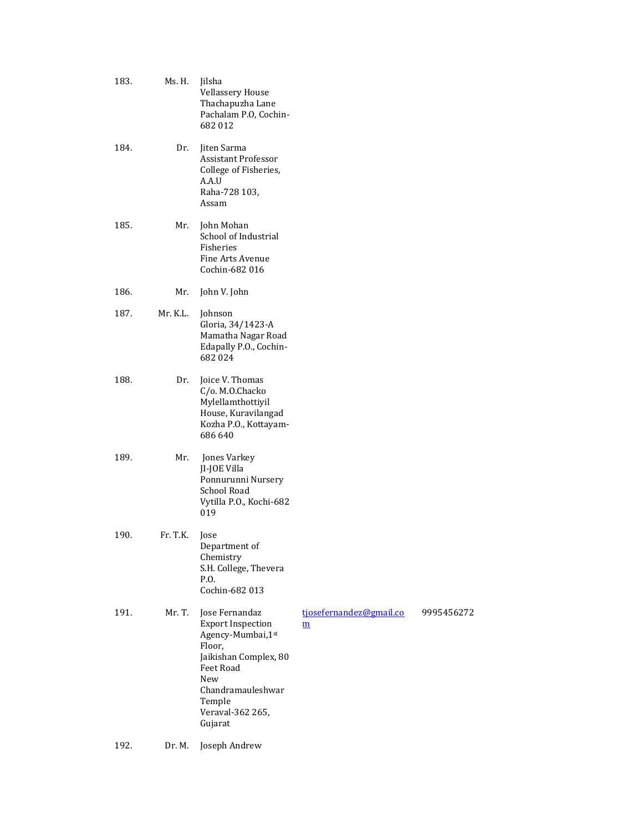| 183. | Ms. H.   | Jilsha<br><b>Vellassery House</b><br>Thachapuzha Lane<br>Pachalam P.O, Cochin-<br>682012                                                                                              |                                            |            |
|------|----------|---------------------------------------------------------------------------------------------------------------------------------------------------------------------------------------|--------------------------------------------|------------|
| 184. | Dr.      | Jiten Sarma<br><b>Assistant Professor</b><br>College of Fisheries,<br>A.A.U<br>Raha-728 103,<br>Assam                                                                                 |                                            |            |
| 185. | Mr.      | John Mohan<br>School of Industrial<br>Fisheries<br><b>Fine Arts Avenue</b><br>Cochin-682 016                                                                                          |                                            |            |
| 186. | Mr.      | John V. John                                                                                                                                                                          |                                            |            |
| 187. | Mr. K.L. | Johnson<br>Gloria, 34/1423-A<br>Mamatha Nagar Road<br>Edapally P.O., Cochin-<br>682024                                                                                                |                                            |            |
| 188. | Dr.      | Joice V. Thomas<br>C/o. M.O.Chacko<br>Mylellamthottiyil<br>House, Kuravilangad<br>Kozha P.O., Kottayam-<br>686 640                                                                    |                                            |            |
| 189. | Mr.      | Jones Varkey<br>JI-JOE Villa<br>Ponnurunni Nursery<br><b>School Road</b><br>Vytilla P.O., Kochi-682<br>019                                                                            |                                            |            |
| 190. | Fr. T.K. | Jose<br>Department of<br>Chemistry<br>S.H. College, Thevera<br>P.O.<br>Cochin-682 013                                                                                                 |                                            |            |
| 191. | Mr. T.   | Jose Fernandaz<br><b>Export Inspection</b><br>Agency-Mumbai, 1st<br>Floor,<br>Jaikishan Complex, 80<br>Feet Road<br>New<br>Chandramauleshwar<br>Temple<br>Veraval-362 265,<br>Gujarat | tjosefernandez@gmail.co<br>$\underline{m}$ | 9995456272 |

# 192. Dr. M. Joseph Andrew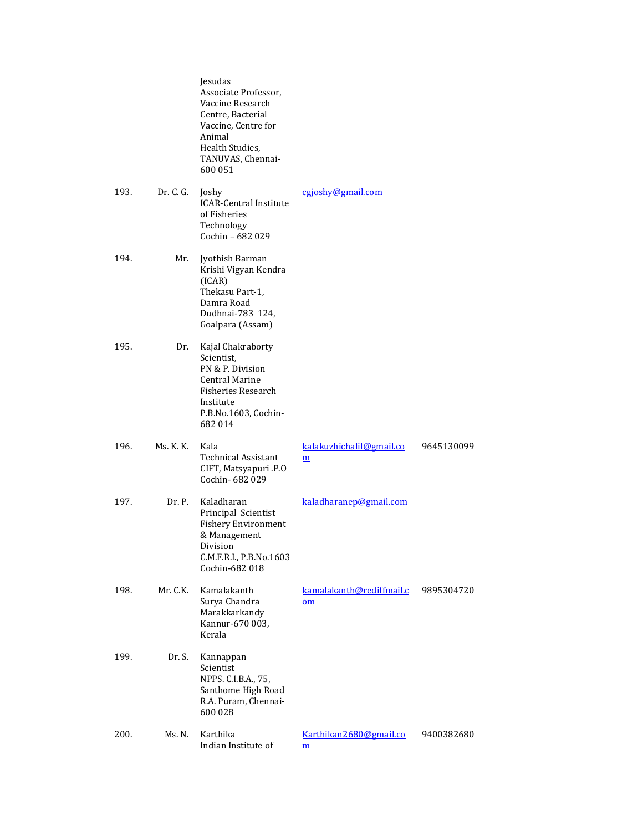|      |           | Jesudas<br>Associate Professor,<br>Vaccine Research<br>Centre, Bacterial<br>Vaccine, Centre for<br>Animal<br>Health Studies,<br>TANUVAS, Chennai-<br>600 051 |                                                      |            |
|------|-----------|--------------------------------------------------------------------------------------------------------------------------------------------------------------|------------------------------------------------------|------------|
| 193. | Dr. C. G. | Joshy<br><b>ICAR-Central Institute</b><br>of Fisheries<br>Technology<br>Cochin - 682 029                                                                     | cgjoshy@gmail.com                                    |            |
| 194. | Mr.       | Jyothish Barman<br>Krishi Vigyan Kendra<br>(ICAR)<br>Thekasu Part-1,<br>Damra Road<br>Dudhnai-783 124,<br>Goalpara (Assam)                                   |                                                      |            |
| 195. | Dr.       | Kajal Chakraborty<br>Scientist,<br>PN & P. Division<br><b>Central Marine</b><br><b>Fisheries Research</b><br>Institute<br>P.B.No.1603, Cochin-<br>682014     |                                                      |            |
| 196. | Ms. K. K. | Kala<br>Technical Assistant<br>CIFT, Matsyapuri .P.O<br>Cochin-682029                                                                                        | kalakuzhichalil@gmail.co<br>$\underline{\mathbf{m}}$ | 9645130099 |
| 197. | Dr. P.    | Kaladharan<br>Principal Scientist<br><b>Fishery Environment</b><br>& Management<br>Division<br>C.M.F.R.I., P.B.No.1603<br>Cochin-682 018                     | kaladharanep@gmail.com                               |            |
| 198. | Mr. C.K.  | Kamalakanth<br>Surya Chandra<br>Marakkarkandy<br>Kannur-670 003,<br>Kerala                                                                                   | kamalakanth@rediffmail.c<br>om                       | 9895304720 |
| 199. | Dr. S.    | Kannappan<br>Scientist<br>NPPS. C.I.B.A., 75,<br>Santhome High Road<br>R.A. Puram, Chennai-<br>600 028                                                       |                                                      |            |
| 200. | Ms. N.    | Karthika<br>Indian Institute of                                                                                                                              | Karthikan2680@gmail.co<br>$\underline{\mathbf{m}}$   | 9400382680 |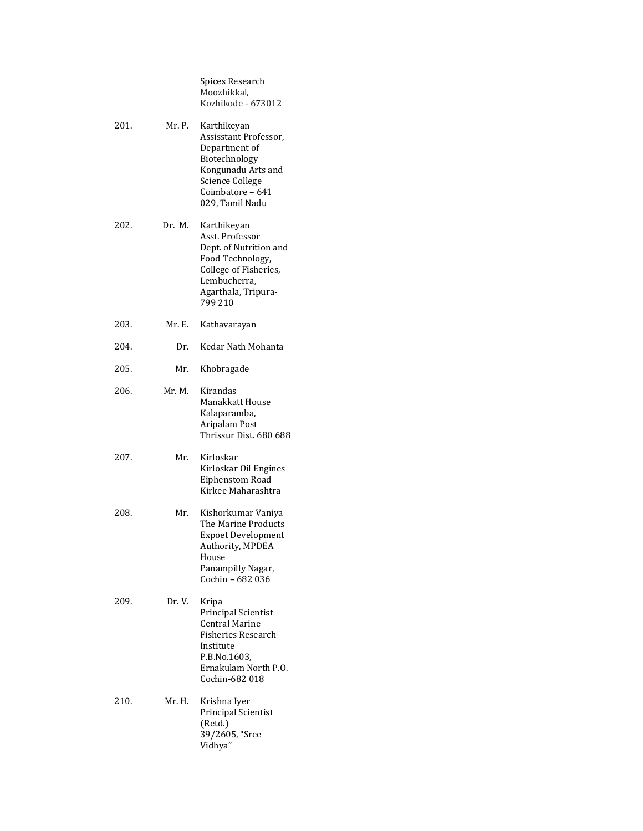Spices Research Moozhikkal, Kozhikode - 673012

| 201. | Mr. P. | Karthikeyan<br>Assisstant Professor,<br>Department of<br>Biotechnology<br>Kongunadu Arts and<br><b>Science College</b><br>Coimbatore - 641<br>029, Tamil Nadu |
|------|--------|---------------------------------------------------------------------------------------------------------------------------------------------------------------|
| 202. | Dr. M. | Karthikeyan<br>Asst. Professor<br>Dept. of Nutrition and<br>Food Technology,<br>College of Fisheries,<br>Lembucherra,<br>Agarthala, Tripura-<br>799 210       |
| 203. | Mr. E. | Kathavarayan                                                                                                                                                  |
| 204. | Dr.    | Kedar Nath Mohanta                                                                                                                                            |
| 205. | Mr.    | Khobragade                                                                                                                                                    |
| 206. | Mr. M. | Kirandas<br>Manakkatt House<br>Kalaparamba,<br>Aripalam Post<br>Thrissur Dist. 680 688                                                                        |
| 207. | Mr.    | Kirloskar<br>Kirloskar Oil Engines<br>Eiphenstom Road<br>Kirkee Maharashtra                                                                                   |
| 208. | Mr.    | Kishorkumar Vaniya<br>The Marine Products<br><b>Expoet Development</b><br>Authority, MPDEA<br>House<br>Panampilly Nagar,<br>Cochin - 682 036                  |
| 209. | Dr. V. | Kripa<br>Principal Scientist<br>Central Marine<br>Fisheries Research<br>Institute<br>P.B.No.1603,<br>Ernakulam North P.O.<br>Cochin-682 018                   |
| 210. | Mr. H. | Krishna Iyer<br>Principal Scientist<br>(Retd.)<br>39/2605, "Sree<br>Vidhya"                                                                                   |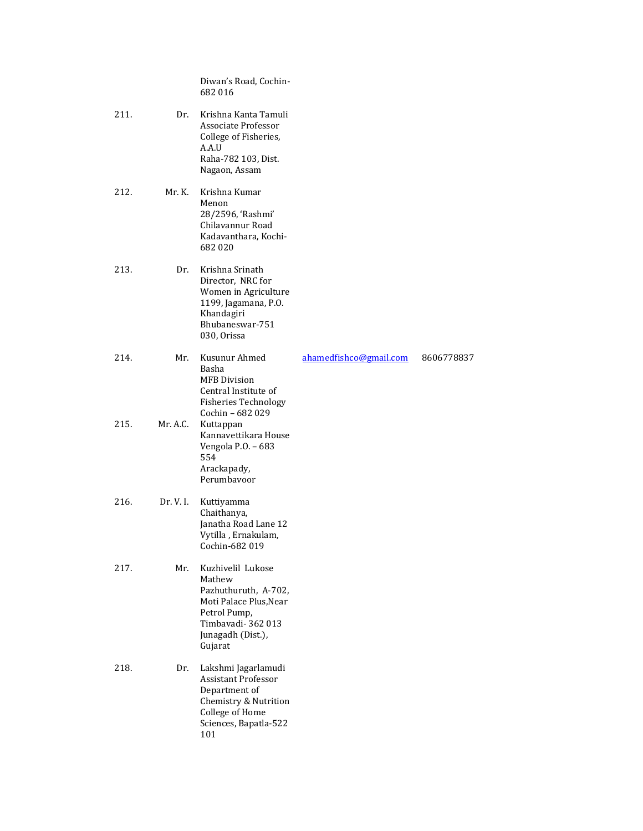|      |           | Diwan's Road, Cochin-<br>682016                                                                                                                   |                        |            |
|------|-----------|---------------------------------------------------------------------------------------------------------------------------------------------------|------------------------|------------|
| 211. | Dr.       | Krishna Kanta Tamuli<br>Associate Professor<br>College of Fisheries,<br>A.A.U<br>Raha-782 103, Dist.<br>Nagaon, Assam                             |                        |            |
| 212. | Mr. K.    | Krishna Kumar<br>Menon<br>28/2596, 'Rashmi'<br>Chilavannur Road<br>Kadavanthara, Kochi-<br>682020                                                 |                        |            |
| 213. | Dr.       | Krishna Srinath<br>Director, NRC for<br>Women in Agriculture<br>1199, Jagamana, P.O.<br>Khandagiri<br>Bhubaneswar-751<br>030, Orissa              |                        |            |
| 214. | Mr.       | Kusunur Ahmed<br>Basha<br><b>MFB</b> Division<br>Central Institute of<br><b>Fisheries Technology</b><br>Cochin - 682 029                          | ahamedfishco@gmail.com | 8606778837 |
| 215. | Mr. A.C.  | Kuttappan<br>Kannavettikara House<br>Vengola P.O. - 683<br>554<br>Arackapady,<br>Perumbayoor                                                      |                        |            |
| 216. | Dr. V. I. | Kuttiyamma<br>Chaithanya,<br>Janatha Road Lane 12<br>Vytilla, Ernakulam,<br>Cochin-682 019                                                        |                        |            |
| 217. | Mr.       | Kuzhivelil Lukose<br>Mathew<br>Pazhuthuruth, A-702,<br>Moti Palace Plus, Near<br>Petrol Pump,<br>Timbavadi-362013<br>Junagadh (Dist.),<br>Gujarat |                        |            |
| 218. | Dr.       | Lakshmi Jagarlamudi<br><b>Assistant Professor</b><br>Department of<br>Chemistry & Nutrition<br>College of Home<br>Sciences, Bapatla-522<br>101    |                        |            |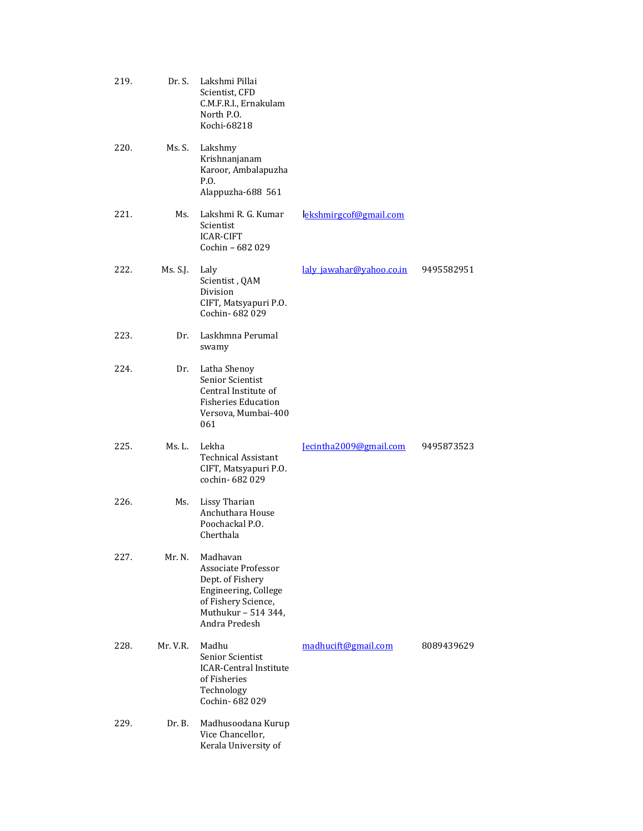| 219. | Dr. S.   | Lakshmi Pillai<br>Scientist, CFD<br>C.M.F.R.I., Ernakulam<br>North P.O.<br>Kochi-68218                                                            |                          |            |
|------|----------|---------------------------------------------------------------------------------------------------------------------------------------------------|--------------------------|------------|
| 220. | Ms. S.   | Lakshmy<br>Krishnanjanam<br>Karoor, Ambalapuzha<br>P.O.<br>Alappuzha-688 561                                                                      |                          |            |
| 221. | Ms.      | Lakshmi R. G. Kumar<br>Scientist<br><b>ICAR-CIFT</b><br>Cochin - 682 029                                                                          | ekshmirgcof@gmail.com    |            |
| 222. | Ms. S.J. | Laly<br>Scientist, QAM<br>Division<br>CIFT, Matsyapuri P.O.<br>Cochin- 682 029                                                                    | laly jawahar@yahoo.co.in | 9495582951 |
| 223. | Dr.      | Laskhmna Perumal<br>swamy                                                                                                                         |                          |            |
| 224. | Dr.      | Latha Shenoy<br>Senior Scientist<br>Central Institute of<br><b>Fisheries Education</b><br>Versova, Mumbai-400<br>061                              |                          |            |
| 225. | Ms. L.   | Lekha<br><b>Technical Assistant</b><br>CIFT, Matsyapuri P.O.<br>cochin-682029                                                                     | Jecintha2009@gmail.com   | 9495873523 |
| 226. | Ms.      | <b>Lissy Tharian</b><br>Anchuthara House<br>Poochackal P.O.<br>Cherthala                                                                          |                          |            |
| 227. | Mr. N.   | Madhavan<br><b>Associate Professor</b><br>Dept. of Fishery<br>Engineering, College<br>of Fishery Science,<br>Muthukur - 514 344,<br>Andra Predesh |                          |            |
| 228. | Mr. V.R. | Madhu<br>Senior Scientist<br><b>ICAR-Central Institute</b><br>of Fisheries<br>Technology<br>Cochin-682029                                         | madhucift@gmail.com      | 8089439629 |
| 229. | Dr. B.   | Madhusoodana Kurup<br>Vice Chancellor,<br>Kerala University of                                                                                    |                          |            |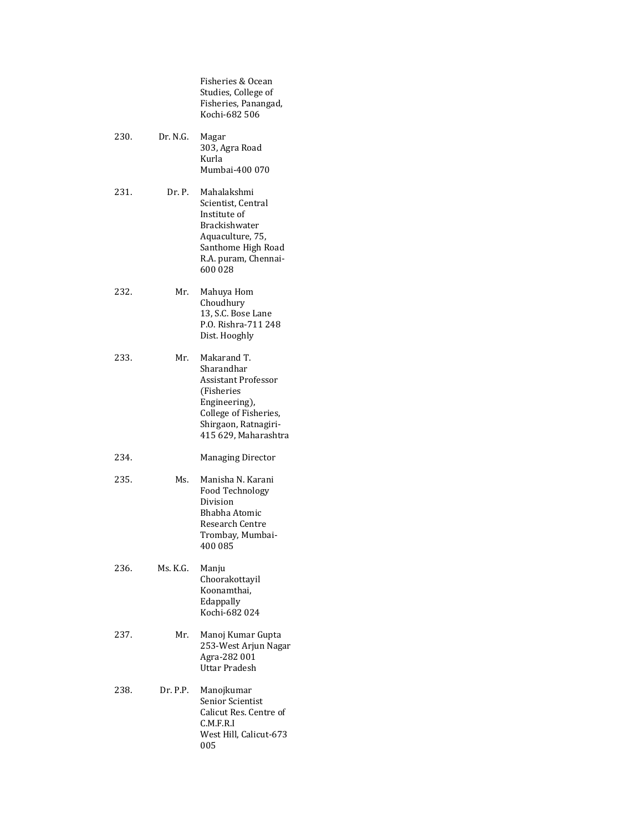Fisheries & Ocean Studies, College of Fisheries, Panangad, Kochi-682 506

- 230. Dr. N.G. Magar 303, Agra Road Kurla Mumbai-400 070
- 231. Dr. P. Mahalakshmi Scientist, Central Institute of Brackishwater Aquaculture, 75, Santhome High Road R.A. puram, Chennai-600 028
- 232. Mr. Mahuya Hom Choudhury 13, S.C. Bose Lane P.O. Rishra-711 248 Dist. Hooghly
- 233. Mr. Makarand T. Sharandhar Assistant Professor (Fisheries Engineering), College of Fisheries, Shirgaon, Ratnagiri-415 629, Maharashtra
- 234. Managing Director
- 235. Ms. Manisha N. Karani Food Technology Division Bhabha Atomic Research Centre Trombay, Mumbai-400 085
- 236. Ms. K.G. Manju Choorakottayil Koonamthai, Edappally Kochi-682 024
- 237. Mr. Manoj Kumar Gupta 253-West Arjun Nagar Agra-282 001 Uttar Pradesh
- 238. Dr. P.P. Manojkumar Senior Scientist Calicut Res. Centre of C.M.F.R.I West Hill, Calicut-673 005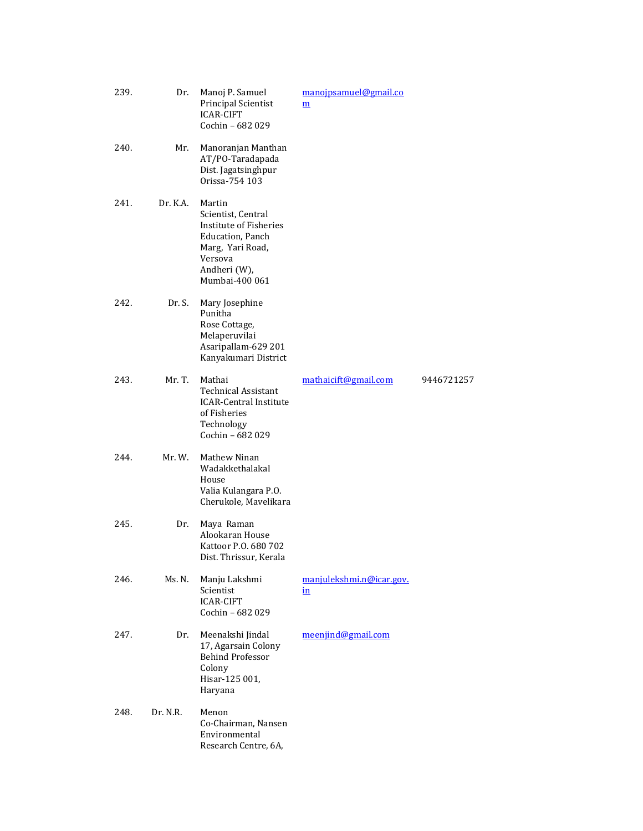| 239. | Dr.      | Manoj P. Samuel<br>Principal Scientist<br><b>ICAR-CIFT</b><br>Cochin - 682 029                                                              | manojpsamuel@gmail.co<br>$\underline{\mathbf{m}}$ |            |
|------|----------|---------------------------------------------------------------------------------------------------------------------------------------------|---------------------------------------------------|------------|
| 240. | Mr.      | Manoranjan Manthan<br>AT/PO-Taradapada<br>Dist. Jagatsinghpur<br>Orissa-754 103                                                             |                                                   |            |
| 241. | Dr. K.A. | Martin<br>Scientist, Central<br>Institute of Fisheries<br>Education, Panch<br>Marg, Yari Road,<br>Versova<br>Andheri (W),<br>Mumbai-400 061 |                                                   |            |
| 242. | Dr. S.   | Mary Josephine<br>Punitha<br>Rose Cottage,<br>Melaperuvilai<br>Asaripallam-629 201<br>Kanyakumari District                                  |                                                   |            |
| 243. | Mr. T.   | Mathai<br><b>Technical Assistant</b><br><b>ICAR-Central Institute</b><br>of Fisheries<br>Technology<br>Cochin - 682 029                     | mathaicift@gmail.com                              | 9446721257 |
| 244. | Mr. W.   | Mathew Ninan<br>Wadakkethalakal<br>House<br>Valia Kulangara P.O.<br>Cherukole, Mavelikara                                                   |                                                   |            |
| 245. | Dr.      | Maya Raman<br>Alookaran House<br>Kattoor P.O. 680 702<br>Dist. Thrissur, Kerala                                                             |                                                   |            |
| 246. | Ms. N.   | Manju Lakshmi<br>Scientist<br><b>ICAR-CIFT</b><br>Cochin - 682 029                                                                          | manjulekshmi.n@icar.gov.<br>$\mathbf{in}$         |            |
| 247. | Dr.      | Meenakshi Jindal<br>17, Agarsain Colony<br><b>Behind Professor</b><br>Colony<br>Hisar-125 001,<br>Haryana                                   | meenjind@gmail.com                                |            |
| 248. | Dr. N.R. | Menon<br>Co-Chairman, Nansen<br>Environmental<br>Research Centre, 6A,                                                                       |                                                   |            |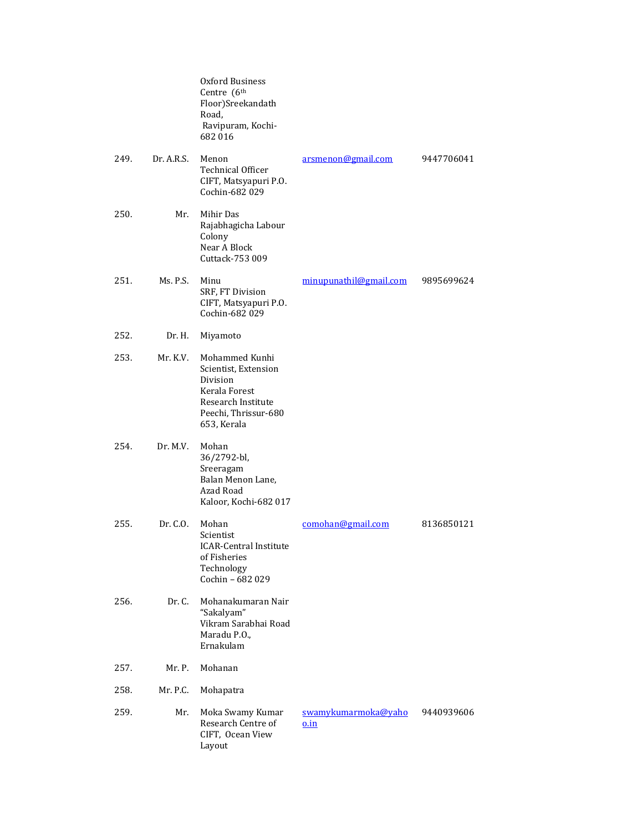|      |            | Oxford Business<br>Centre (6 <sup>th</sup><br>Floor)Sreekandath<br>Road,<br>Ravipuram, Kochi-<br>682016                          |                                    |            |
|------|------------|----------------------------------------------------------------------------------------------------------------------------------|------------------------------------|------------|
| 249. | Dr. A.R.S. | Menon<br><b>Technical Officer</b><br>CIFT, Matsyapuri P.O.<br>Cochin-682 029                                                     | arsmenon@gmail.com                 | 9447706041 |
| 250. | Mr.        | Mihir Das<br>Rajabhagicha Labour<br>Colony<br>Near A Block<br>Cuttack-753 009                                                    |                                    |            |
| 251. | Ms. P.S.   | Minu<br>SRF, FT Division<br>CIFT, Matsyapuri P.O.<br>Cochin-682 029                                                              | minupunathil@gmail.com             | 9895699624 |
| 252. | Dr. H.     | Miyamoto                                                                                                                         |                                    |            |
| 253. | Mr. K.V.   | Mohammed Kunhi<br>Scientist, Extension<br>Division<br>Kerala Forest<br>Research Institute<br>Peechi, Thrissur-680<br>653, Kerala |                                    |            |
| 254. | Dr. M.V.   | Mohan<br>36/2792-bl,<br>Sreeragam<br>Balan Menon Lane,<br>Azad Road<br>Kaloor, Kochi-682 017                                     |                                    |            |
| 255. | Dr. C.O.   | Mohan<br>Scientist<br><b>ICAR-Central Institute</b><br>of Fisheries<br>Technology<br>Cochin - 682 029                            | comohan@gmail.com                  | 8136850121 |
| 256. | Dr. C.     | Mohanakumaran Nair<br>"Sakalyam"<br>Vikram Sarabhai Road<br>Maradu P.O.,<br>Ernakulam                                            |                                    |            |
| 257. | Mr. P.     | Mohanan                                                                                                                          |                                    |            |
| 258. | Mr. P.C.   | Mohapatra                                                                                                                        |                                    |            |
| 259. | Mr.        | Moka Swamy Kumar<br>Research Centre of<br>CIFT, Ocean View<br>Layout                                                             | swamykumarmoka@yaho<br><u>o.in</u> | 9440939606 |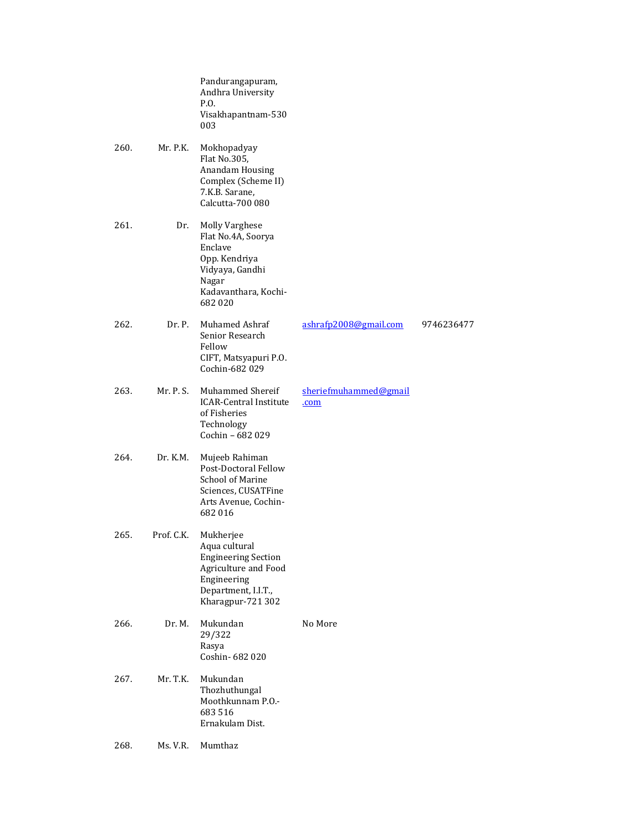|      |            | Pandurangapuram,<br>Andhra University<br>P.O.<br>Visakhapantnam-530<br>003                                                                  |                               |            |
|------|------------|---------------------------------------------------------------------------------------------------------------------------------------------|-------------------------------|------------|
| 260. | Mr. P.K.   | Mokhopadyay<br>Flat No.305,<br>Anandam Housing<br>Complex (Scheme II)<br>7.K.B. Sarane,<br>Calcutta-700 080                                 |                               |            |
| 261. | Dr.        | Molly Varghese<br>Flat No.4A, Soorya<br>Enclave<br>Opp. Kendriya<br>Vidyaya, Gandhi<br>Nagar<br>Kadavanthara, Kochi-<br>682020              |                               |            |
| 262. | Dr. P.     | Muhamed Ashraf<br>Senior Research<br>Fellow<br>CIFT, Matsyapuri P.O.<br>Cochin-682 029                                                      | ashrafp2008@gmail.com         | 9746236477 |
| 263. | Mr. P. S.  | Muhammed Shereif<br><b>ICAR-Central Institute</b><br>of Fisheries<br>Technology<br>Cochin - 682 029                                         | sheriefmuhammed@gmail<br>.com |            |
| 264. | Dr. K.M.   | Mujeeb Rahiman<br>Post-Doctoral Fellow<br><b>School of Marine</b><br>Sciences, CUSATFine<br>Arts Avenue, Cochin-<br>682016                  |                               |            |
| 265. | Prof. C.K. | Mukherjee<br>Aqua cultural<br><b>Engineering Section</b><br>Agriculture and Food<br>Engineering<br>Department, I.I.T.,<br>Kharagpur-721 302 |                               |            |
| 266. | Dr. M.     | Mukundan<br>29/322<br>Rasya<br>Coshin-682020                                                                                                | No More                       |            |
| 267. | Mr. T.K.   | Mukundan<br>Thozhuthungal<br>Moothkunnam P.O.-<br>683516<br>Ernakulam Dist.                                                                 |                               |            |
| 268. | Ms. V.R.   | Mumthaz                                                                                                                                     |                               |            |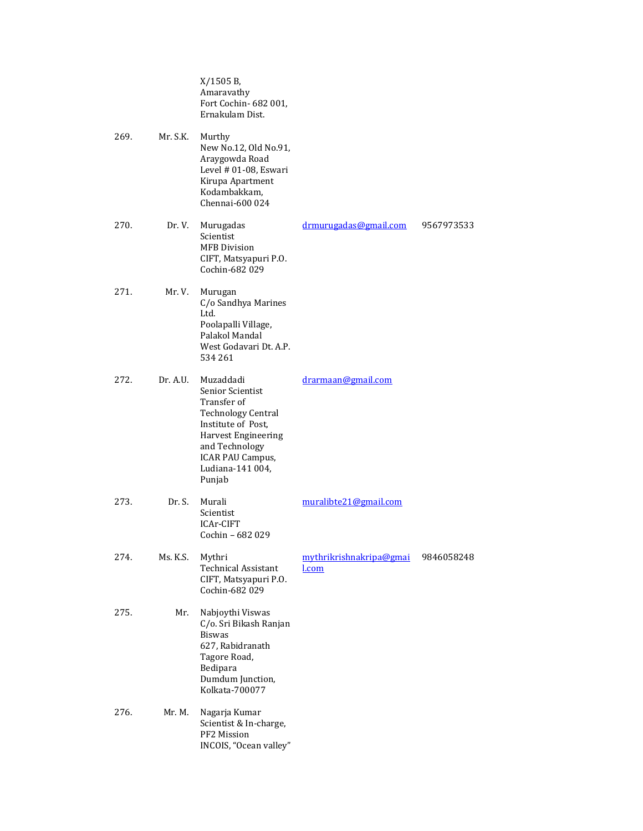X/1505 B, Amaravathy Fort Cochin- 682 001, Ernakulam Dist. 269. Mr. S.K. Murthy New No.12, Old No.91, Araygowda Road Level # 01-08, Eswari Kirupa Apartment Kodambakkam, Chennai-600 024 270. Dr. V. Murugadas Scientist MFB Division CIFT, Matsyapuri P.O. Cochin-682 029 [drmurugadas@gmail.com](mailto:drmurugadas@gmail.com) 9567973533 271. Mr. V. Murugan C/o Sandhya Marines Ltd. Poolapalli Village, Palakol Mandal West Godavari Dt. A.P. 534 261 272. Dr. A.U. Muzaddadi Senior Scientist Transfer of Technology Central Institute of Post, Harvest Engineering and Technology ICAR PAU Campus, Ludiana-141 004, Punjab [drarmaan@gmail.com](mailto:drarmaan@gmail.com) 273. Dr. S. Murali Scientist ICAr-CIFT Cochin – 682 029 muralibte21@gmail.com 274. Ms. K.S. Mythri Technical Assistant CIFT, Matsyapuri P.O. Cochin-682 029 [mythrikrishnakripa@gmai](mailto:mythrikrishnakripa@gmail.com) [l.com](mailto:mythrikrishnakripa@gmail.com) 9846058248 275. Mr. Nabjoythi Viswas C/o. Sri Bikash Ranjan Biswas 627, Rabidranath Tagore Road, Bedipara Dumdum Junction, Kolkata-700077 276. Mr. M. Nagarja Kumar Scientist & In-charge, PF2 Mission INCOIS, "Ocean valley"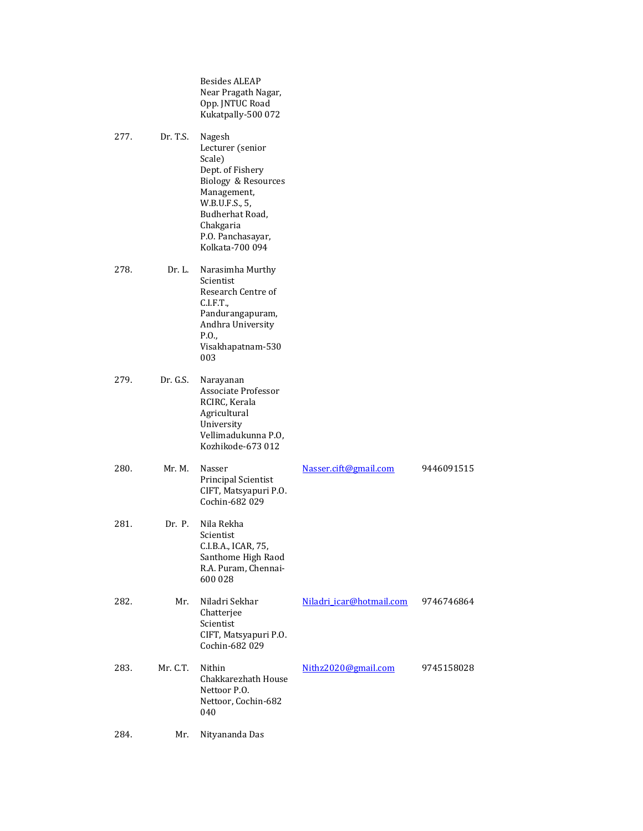Besides ALEAP Near Pragath Nagar, Opp. JNTUC Road Kukatpally-500 072

277. Dr. T.S. Nagesh Lecturer (senior Scale) Dept. of Fishery Biology & Resources Management, W.B.U.F.S., 5, Budherhat Road, Chakgaria P.O. Panchasayar, Kolkata-700 094 278. Dr. L. Narasimha Murthy Scientist Research Centre of C.I.F.T., Pandurangapuram, Andhra University P.O., Visakhapatnam-530 003 279. Dr. G.S. Narayanan Associate Professor RCIRC, Kerala

Agricultural University Vellimadukunna P.O, Kozhikode-673 012

| 280. | Mr. M.   | Nasser<br><b>Principal Scientist</b><br>CIFT, Matsyapuri P.O.<br>Cochin-682 029                         | Nasser.cift@gmail.com    | 9446091515 |
|------|----------|---------------------------------------------------------------------------------------------------------|--------------------------|------------|
| 281. | Dr. P.   | Nila Rekha<br>Scientist<br>C.I.B.A., ICAR, 75,<br>Santhome High Raod<br>R.A. Puram, Chennai-<br>600 028 |                          |            |
| 282. | Mr.      | Niladri Sekhar<br>Chatterjee<br>Scientist<br>CIFT, Matsyapuri P.O.<br>Cochin-682 029                    | Niladri icar@hotmail.com | 9746746864 |
| 283. | Mr. C.T. | Nithin<br>Chakkarezhath House<br>Nettoor P.O.<br>Nettoor, Cochin-682<br>040                             | Nithz2020@gmail.com      | 9745158028 |
| 284. | Mr.      | Nityananda Das                                                                                          |                          |            |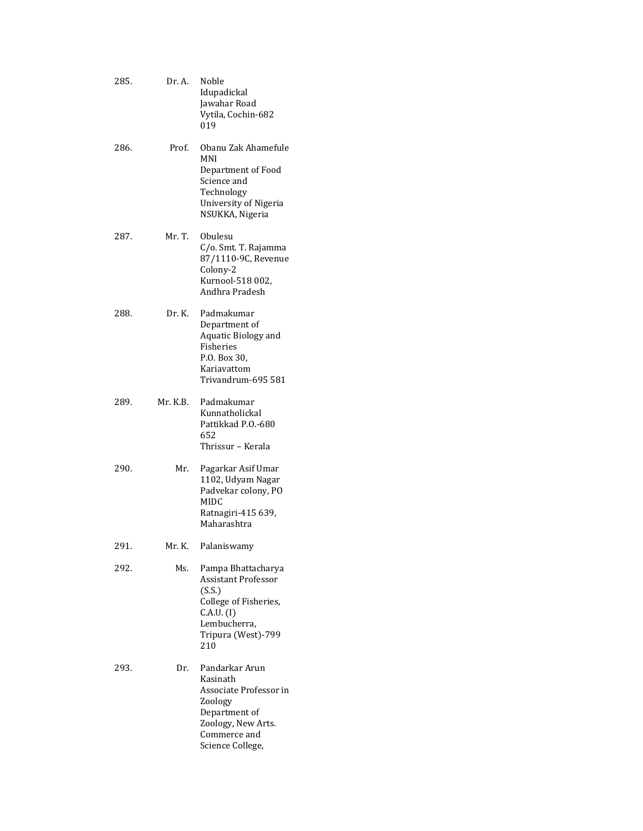| 285. | Dr. A.   | Noble<br>Idupadickal<br>Jawahar Road<br>Vytila, Cochin-682<br>019                                                                              |
|------|----------|------------------------------------------------------------------------------------------------------------------------------------------------|
| 286. | Prof.    | Obanu Zak Ahamefule<br>MNI<br>Department of Food<br>Science and<br>Technology<br>University of Nigeria<br>NSUKKA, Nigeria                      |
| 287. | Mr. T.   | Obulesu<br>C/o. Smt. T. Rajamma<br>87/1110-9C, Revenue<br>Colony-2<br>Kurnool-518 002,<br>Andhra Pradesh                                       |
| 288. | Dr. K.   | Padmakumar<br>Department of<br>Aquatic Biology and<br>Fisheries<br>P.O. Box 30,<br>Kariavattom<br>Trivandrum-695 581                           |
| 289. | Mr. K.B. | Padmakumar<br>Kunnatholickal<br>Pattikkad P.O.-680<br>652<br>Thrissur – Kerala                                                                 |
| 290. | Mr.      | Pagarkar Asif Umar<br>1102, Udyam Nagar<br>Padvekar colony, PO<br>MIDC<br>Ratnagiri-415 639,<br>Maharashtra                                    |
| 291. | Mr. K.   | Palaniswamy                                                                                                                                    |
| 292. | Ms.      | Pampa Bhattacharya<br><b>Assistant Professor</b><br>(S.S.)<br>College of Fisheries,<br>C.A.U. (I)<br>Lembucherra,<br>Tripura (West)-799<br>210 |
| 293. | Dr.      | Pandarkar Arun<br>Kasinath<br>Associate Professor in<br>Zoology<br>Department of<br>Zoology, New Arts.<br>Commerce and<br>Science College,     |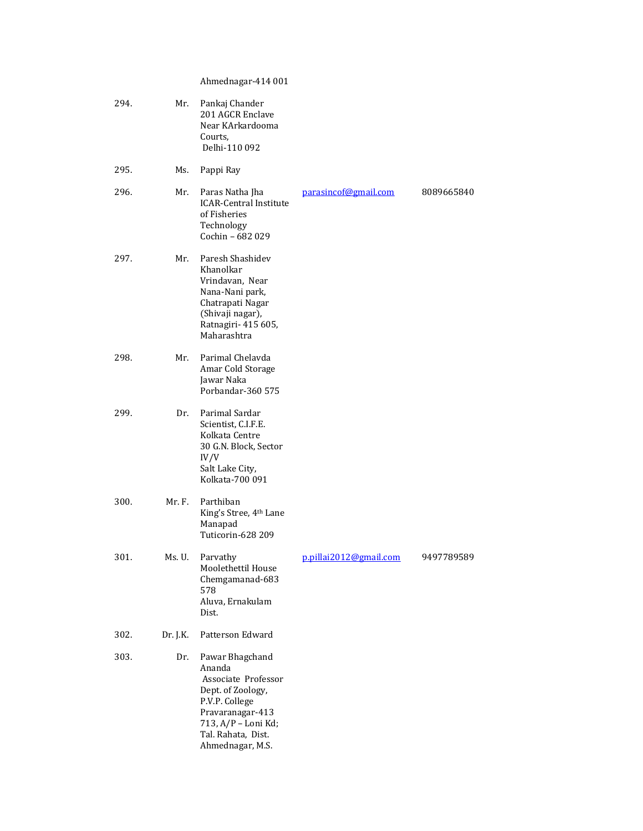Ahmednagar-414 001

| 294. | Mr.      | Pankaj Chander<br>201 AGCR Enclave<br>Near KArkardooma<br>Courts,<br>Delhi-110 092                                                                                           |                        |            |
|------|----------|------------------------------------------------------------------------------------------------------------------------------------------------------------------------------|------------------------|------------|
| 295. | Ms.      | Pappi Ray                                                                                                                                                                    |                        |            |
| 296. | Mr.      | Paras Natha Jha<br><b>ICAR-Central Institute</b><br>of Fisheries<br>Technology<br>Cochin - 682 029                                                                           | parasincof@gmail.com   | 8089665840 |
| 297. | Mr.      | Paresh Shashidev<br>Khanolkar<br>Vrindavan, Near<br>Nana-Nani park,<br>Chatrapati Nagar<br>(Shivaji nagar),<br>Ratnagiri- 415 605,<br>Maharashtra                            |                        |            |
| 298. | Mr.      | Parimal Chelavda<br>Amar Cold Storage<br>Jawar Naka<br>Porbandar-360 575                                                                                                     |                        |            |
| 299. | Dr.      | Parimal Sardar<br>Scientist, C.I.F.E.<br>Kolkata Centre<br>30 G.N. Block, Sector<br>IV/V<br>Salt Lake City,<br>Kolkata-700 091                                               |                        |            |
| 300. | Mr. F.   | Parthiban<br>King's Stree, 4th Lane<br>Manapad<br>Tuticorin-628 209                                                                                                          |                        |            |
| 301. | Ms.U.    | Parvathy<br>Moolethettil House<br>Chemgamanad-683<br>578<br>Aluva, Ernakulam<br>Dist.                                                                                        | p.pillai2012@gmail.com | 9497789589 |
| 302. | Dr. J.K. | Patterson Edward                                                                                                                                                             |                        |            |
| 303. | Dr.      | Pawar Bhagchand<br>Ananda<br>Associate Professor<br>Dept. of Zoology,<br>P.V.P. College<br>Pravaranagar-413<br>713, A/P - Loni Kd;<br>Tal. Rahata, Dist.<br>Ahmednagar, M.S. |                        |            |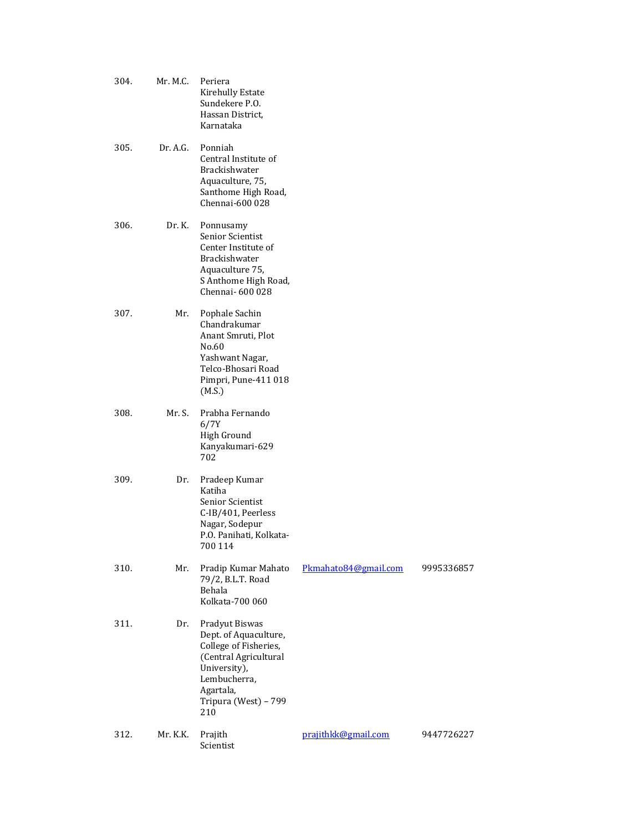| 304. | Mr. M.C. | Periera<br>Kirehully Estate<br>Sundekere P.O.<br>Hassan District,<br>Karnataka                                                                                        |                      |            |
|------|----------|-----------------------------------------------------------------------------------------------------------------------------------------------------------------------|----------------------|------------|
| 305. | Dr. A.G. | Ponniah<br>Central Institute of<br>Brackishwater<br>Aquaculture, 75,<br>Santhome High Road,<br>Chennai-600 028                                                        |                      |            |
| 306. | Dr. K.   | Ponnusamy<br>Senior Scientist<br>Center Institute of<br>Brackishwater<br>Aquaculture 75,<br>S Anthome High Road,<br>Chennai-600 028                                   |                      |            |
| 307. | Mr.      | Pophale Sachin<br>Chandrakumar<br>Anant Smruti, Plot<br>No.60<br>Yashwant Nagar,<br>Telco-Bhosari Road<br>Pimpri, Pune-411 018<br>(M.S.)                              |                      |            |
| 308. | Mr. S.   | Prabha Fernando<br>6/7Y<br>High Ground<br>Kanyakumari-629<br>702                                                                                                      |                      |            |
| 309. | Dr.      | Pradeep Kumar<br>Katiha<br>Senior Scientist<br>C-IB/401, Peerless<br>Nagar, Sodepur<br>P.O. Panihati, Kolkata-<br>700 114                                             |                      |            |
| 310. | Mr.      | Pradip Kumar Mahato<br>79/2, B.L.T. Road<br>Behala<br>Kolkata-700 060                                                                                                 | Pkmahato84@gmail.com | 9995336857 |
| 311. | Dr.      | Pradyut Biswas<br>Dept. of Aquaculture,<br>College of Fisheries,<br>(Central Agricultural<br>University),<br>Lembucherra,<br>Agartala,<br>Tripura (West) - 799<br>210 |                      |            |
| 312. | Mr. K.K. | Prajith<br>Scientist                                                                                                                                                  | prajithkk@gmail.com  | 9447726227 |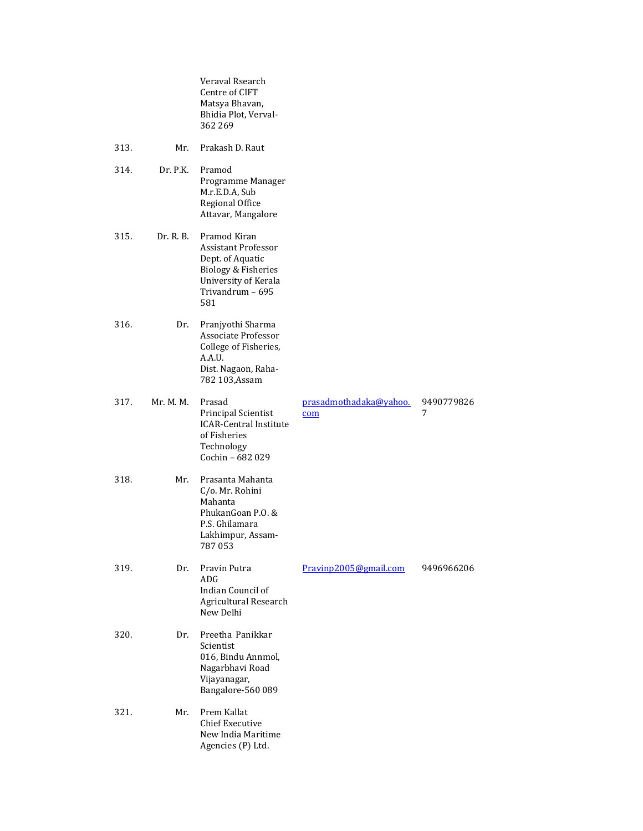|      |           | Veraval Rsearch<br>Centre of CIFT<br>Matsya Bhavan,<br>Bhidia Plot, Verval-<br>362 269                                                   |                               |                 |
|------|-----------|------------------------------------------------------------------------------------------------------------------------------------------|-------------------------------|-----------------|
| 313. | Mr.       | Prakash D. Raut                                                                                                                          |                               |                 |
| 314. | Dr. P.K.  | Pramod<br>Programme Manager<br>M.r.E.D.A, Sub<br><b>Regional Office</b><br>Attavar, Mangalore                                            |                               |                 |
| 315. | Dr. R. B. | Pramod Kiran<br><b>Assistant Professor</b><br>Dept. of Aquatic<br>Biology & Fisheries<br>University of Kerala<br>Trivandrum - 695<br>581 |                               |                 |
| 316. | Dr.       | Pranjyothi Sharma<br>Associate Professor<br>College of Fisheries,<br>A.A.U.<br>Dist. Nagaon, Raha-<br>782 103, Assam                     |                               |                 |
| 317. | Mr. M. M. | Prasad<br>Principal Scientist<br><b>ICAR-Central Institute</b><br>of Fisheries<br>Technology<br>Cochin - 682 029                         | prasadmothadaka@yahoo.<br>com | 9490779826<br>7 |
| 318. | Mr.       | Prasanta Mahanta<br>C/o. Mr. Rohini<br>Mahanta<br>PhukanGoan P.O. &<br>P.S. Ghilamara<br>Lakhimpur, Assam-<br>787053                     |                               |                 |
| 319. | Dr.       | Pravin Putra<br>ADG<br>Indian Council of<br>Agricultural Research<br>New Delhi                                                           | Pravinp2005@gmail.com         | 9496966206      |
| 320. | Dr.       | Preetha Panikkar<br>Scientist<br>016, Bindu Annmol,<br>Nagarbhavi Road<br>Vijayanagar,<br>Bangalore-560 089                              |                               |                 |
| 321. | Mr.       | Prem Kallat<br><b>Chief Executive</b><br>New India Maritime<br>Agencies (P) Ltd.                                                         |                               |                 |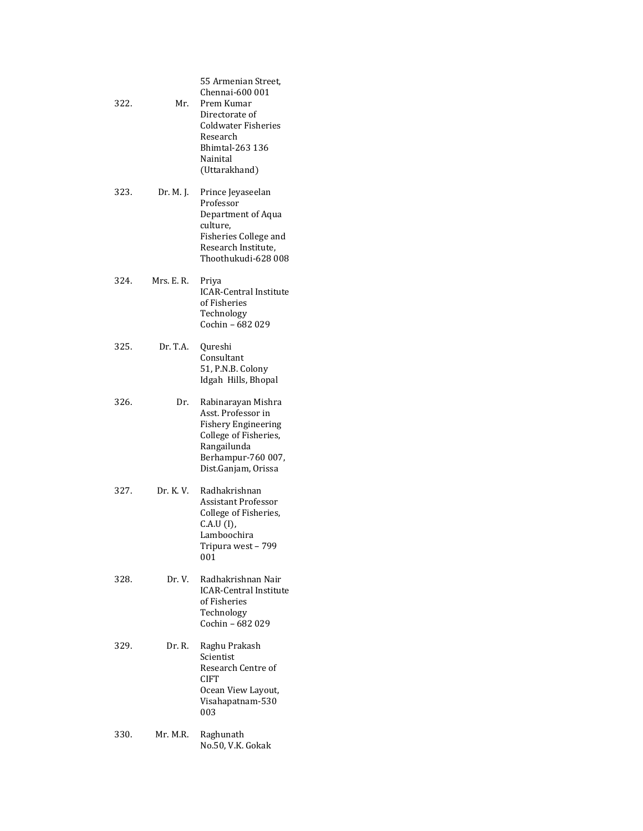| 322. | Mr.        | 55 Armenian Street,<br>Chennai-600 001<br>Prem Kumar<br>Directorate of<br><b>Coldwater Fisheries</b><br>Research<br>Bhimtal-263 136<br>Nainital<br>(Uttarakhand) |
|------|------------|------------------------------------------------------------------------------------------------------------------------------------------------------------------|
| 323. | Dr. M. J.  | Prince Jeyaseelan<br>Professor<br>Department of Aqua<br>culture,<br>Fisheries College and<br>Research Institute,<br>Thoothukudi-628 008                          |
| 324. | Mrs. E. R. | Priya<br><b>ICAR-Central Institute</b><br>of Fisheries<br>Technology<br>Cochin - 682 029                                                                         |
| 325. | Dr. T.A.   | Qureshi<br>Consultant<br>51, P.N.B. Colony<br>Idgah Hills, Bhopal                                                                                                |
| 326. | Dr.        | Rabinarayan Mishra<br>Asst. Professor in<br><b>Fishery Engineering</b><br>College of Fisheries,<br>Rangailunda<br>Berhampur-760 007,<br>Dist.Ganjam, Orissa      |
| 327. | Dr. K. V.  | Radhakrishnan<br>Assistant Professor<br>College of Fisheries,<br>C.A.U (I),<br>Lamboochira<br>799<br>Tripura west -<br>001                                       |
| 328. | Dr. V.     | Radhakrishnan Nair<br><b>ICAR-Central Institute</b><br>of Fisheries<br>Technology<br>Cochin - 682 029                                                            |
| 329. | Dr. R.     | Raghu Prakash<br>Scientist<br>Research Centre of<br>CIFT<br>Ocean View Layout,<br>Visahapatnam-530<br>003                                                        |
| 330. | Mr. M.R.   | Raghunath<br>No.50, V.K. Gokak                                                                                                                                   |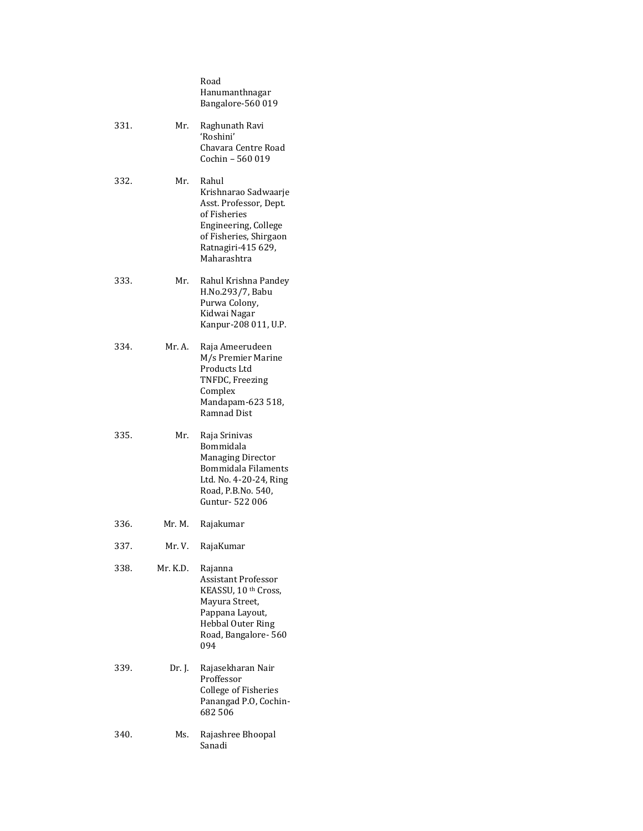|      |          | Road<br>Hanumanthnagar<br>Bangalore-560 019                                                                                                                    |
|------|----------|----------------------------------------------------------------------------------------------------------------------------------------------------------------|
| 331. | Mr.      | Raghunath Ravi<br>'Roshini'<br>Chavara Centre Road<br>Cochin - 560 019                                                                                         |
| 332. | Mr.      | Rahul<br>Krishnarao Sadwaarje<br>Asst. Professor, Dept.<br>of Fisheries<br>Engineering, College<br>of Fisheries, Shirgaon<br>Ratnagiri-415 629,<br>Maharashtra |
| 333. | Mr.      | Rahul Krishna Pandey<br>H.No.293/7, Babu<br>Purwa Colony,<br>Kidwai Nagar<br>Kanpur-208 011, U.P.                                                              |
| 334. | Mr. A.   | Raja Ameerudeen<br>M/s Premier Marine<br>Products Ltd<br>TNFDC, Freezing<br>Complex<br>Mandapam-623 518,<br><b>Ramnad Dist</b>                                 |
| 335. | Mr.      | Raja Srinivas<br>Bommidala<br><b>Managing Director</b><br>Bommidala Filaments<br>Ltd. No. 4-20-24, Ring<br>Road, P.B.No. 540,<br>Guntur- 522 006               |
| 336. | Mr. M.   | Rajakumar                                                                                                                                                      |
| 337. | Mr. V.   | RajaKumar                                                                                                                                                      |
| 338. | Mr. K.D. | Rajanna<br><b>Assistant Professor</b><br>KEASSU, 10 th Cross,<br>Mayura Street,<br>Pappana Layout,<br>Hebbal Outer Ring<br>Road, Bangalore- 560<br>094         |
| 339. | Dr. J.   | Rajasekharan Nair<br>Proffessor<br>College of Fisheries<br>Panangad P.O, Cochin-<br>682506                                                                     |
| 340. | Ms.      | Rajashree Bhoopal<br>Sanadi                                                                                                                                    |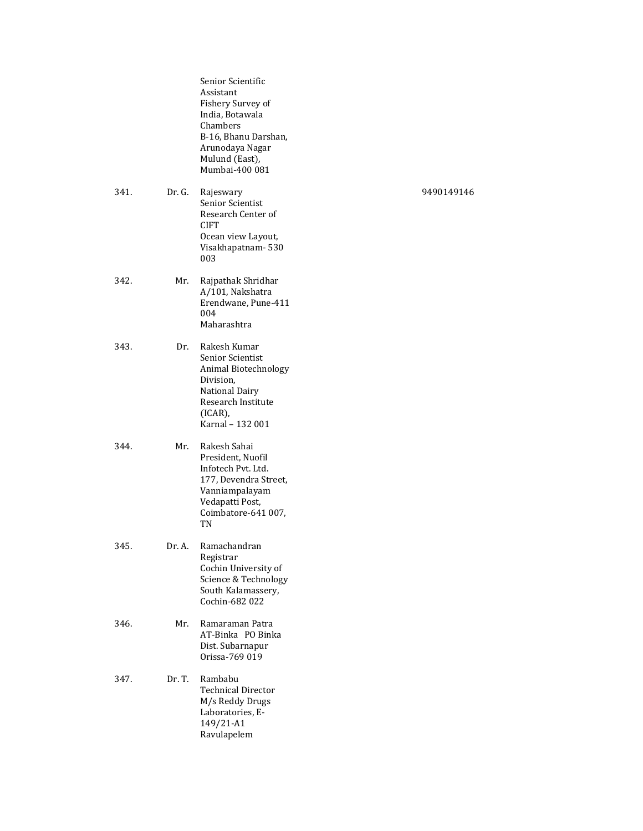|      |        | Senior Scientific<br>Assistant<br>Fishery Survey of<br>India, Botawala<br>Chambers<br>B-16, Bhanu Darshan,<br>Arunodaya Nagar<br>Mulund (East),<br>Mumbai-400 081 |            |
|------|--------|-------------------------------------------------------------------------------------------------------------------------------------------------------------------|------------|
| 341. | Dr. G. | Rajeswary<br>Senior Scientist<br>Research Center of<br><b>CIFT</b><br>Ocean view Layout,<br>Visakhapatnam-530<br>003                                              | 9490149146 |
| 342. | Mr.    | Rajpathak Shridhar<br>A/101, Nakshatra<br>Erendwane, Pune-411<br>004<br>Maharashtra                                                                               |            |
| 343. | Dr.    | Rakesh Kumar<br>Senior Scientist<br>Animal Biotechnology<br>Division,<br><b>National Dairy</b><br>Research Institute<br>$(ICAR)$ ,<br>Karnal - 132 001            |            |
| 344. | Mr.    | Rakesh Sahai<br>President, Nuofil<br>Infotech Pvt. Ltd.<br>177, Devendra Street,<br>Vanniampalayam<br>Vedapatti Post,<br>Coimbatore-641 007,<br>TN                |            |
| 345. | Dr. A. | Ramachandran<br>Registrar<br>Cochin University of<br>Science & Technology<br>South Kalamassery,<br>Cochin-682 022                                                 |            |
| 346. | Mr.    | Ramaraman Patra<br>AT-Binka PO Binka<br>Dist. Subarnapur<br>Orissa-769 019                                                                                        |            |
| 347. | Dr. T. | Rambabu<br><b>Technical Director</b><br>M/s Reddy Drugs<br>Laboratories, E-<br>149/21-A1<br>Ravulapelem                                                           |            |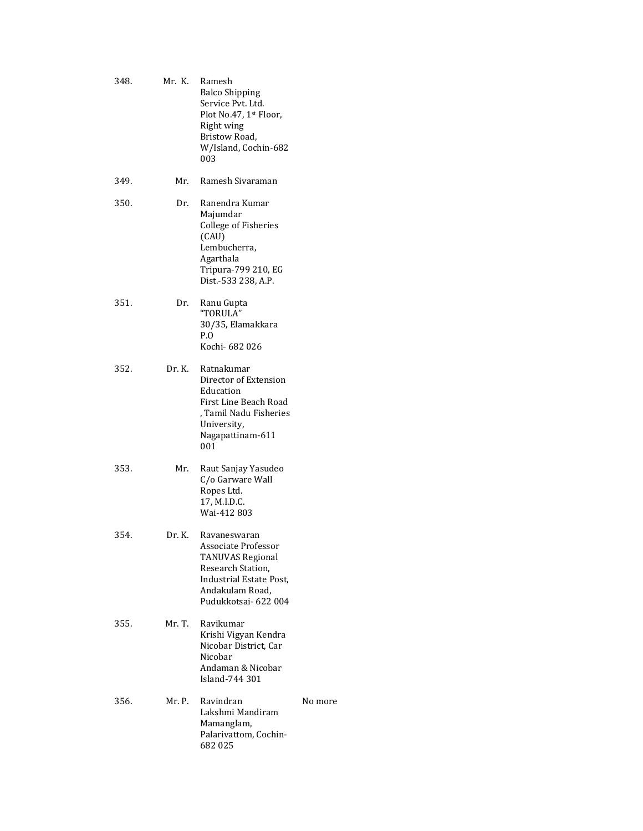| 348. | Mr. K. | Ramesh<br><b>Balco Shipping</b><br>Service Pvt. Ltd.<br>Plot No.47, 1st Floor,<br>Right wing<br>Bristow Road,<br>W/Island, Cochin-682<br>003              |         |
|------|--------|-----------------------------------------------------------------------------------------------------------------------------------------------------------|---------|
| 349. | Mr.    | Ramesh Sivaraman                                                                                                                                          |         |
| 350. | Dr.    | Ranendra Kumar<br>Majumdar<br>College of Fisheries<br>(CAU)<br>Lembucherra,<br>Agarthala<br>Tripura-799 210, EG<br>Dist.-533 238, A.P.                    |         |
| 351. | Dr.    | Ranu Gupta<br>"TORULA"<br>30/35, Elamakkara<br>$P_{\cdot}$ O<br>Kochi- 682 026                                                                            |         |
| 352. |        | Dr. K. Ratnakumar<br>Director of Extension<br>Education<br>First Line Beach Road<br>, Tamil Nadu Fisheries<br>University,<br>Nagapattinam-611<br>001      |         |
| 353. | Mr.    | Raut Sanjay Yasudeo<br>C/o Garware Wall<br>Ropes Ltd.<br>17, M.I.D.C.<br>Wai-412 803                                                                      |         |
| 354. | Dr. K. | Ravaneswaran<br>Associate Professor<br><b>TANUVAS Regional</b><br>Research Station,<br>Industrial Estate Post,<br>Andakulam Road,<br>Pudukkotsai- 622 004 |         |
| 355. | Mr. T. | Ravikumar<br>Krishi Vigyan Kendra<br>Nicobar District, Car<br>Nicobar<br>Andaman & Nicobar<br>Island-744 301                                              |         |
| 356. | Mr. P. | Ravindran<br>Lakshmi Mandiram<br>Mamanglam,<br>Palarivattom, Cochin-<br>682025                                                                            | No more |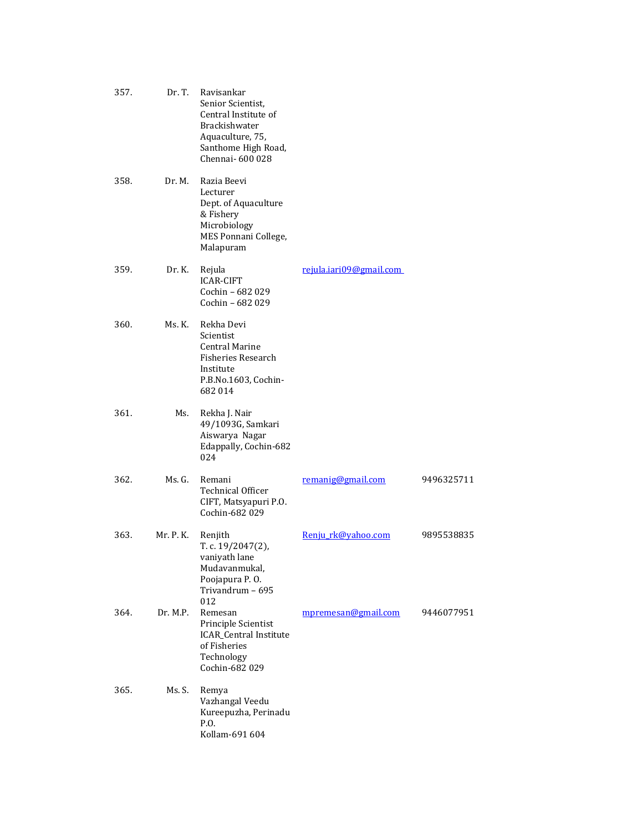| 357. | Dr. T.    | Ravisankar<br>Senior Scientist,<br>Central Institute of<br>Brackishwater<br>Aquaculture, 75,<br>Santhome High Road,<br>Chennai-600028 |                         |            |
|------|-----------|---------------------------------------------------------------------------------------------------------------------------------------|-------------------------|------------|
| 358. | Dr. M.    | Razia Beevi<br>Lecturer<br>Dept. of Aquaculture<br>& Fishery<br>Microbiology<br>MES Ponnani College,<br>Malapuram                     |                         |            |
| 359. | Dr. K.    | Rejula<br><b>ICAR-CIFT</b><br>Cochin - 682 029<br>Cochin - 682 029                                                                    | rejula.iari09@gmail.com |            |
| 360. | Ms. K.    | Rekha Devi<br>Scientist<br><b>Central Marine</b><br><b>Fisheries Research</b><br>Institute<br>P.B.No.1603, Cochin-<br>682 014         |                         |            |
| 361. | Ms.       | Rekha J. Nair<br>49/1093G, Samkari<br>Aiswarya Nagar<br>Edappally, Cochin-682<br>024                                                  |                         |            |
| 362. | Ms. G.    | Remani<br><b>Technical Officer</b><br>CIFT, Matsyapuri P.O.<br>Cochin-682 029                                                         | remanig@gmail.com       | 9496325711 |
| 363. | Mr. P. K. | Renjith<br>T. c. 19/2047(2),<br>vaniyath lane<br>Mudavanmukal,<br>Poojapura P.O.<br>Trivandrum - 695<br>012                           | Renju rk@yahoo.com      | 9895538835 |
| 364. | Dr. M.P.  | Remesan<br>Principle Scientist<br><b>ICAR_Central Institute</b><br>of Fisheries<br>Technology<br>Cochin-682 029                       | mpremesan@gmail.com     | 9446077951 |
| 365. | Ms. S.    | Remya<br>Vazhangal Veedu<br>Kureepuzha, Perinadu<br>P.O.<br>Kollam-691 604                                                            |                         |            |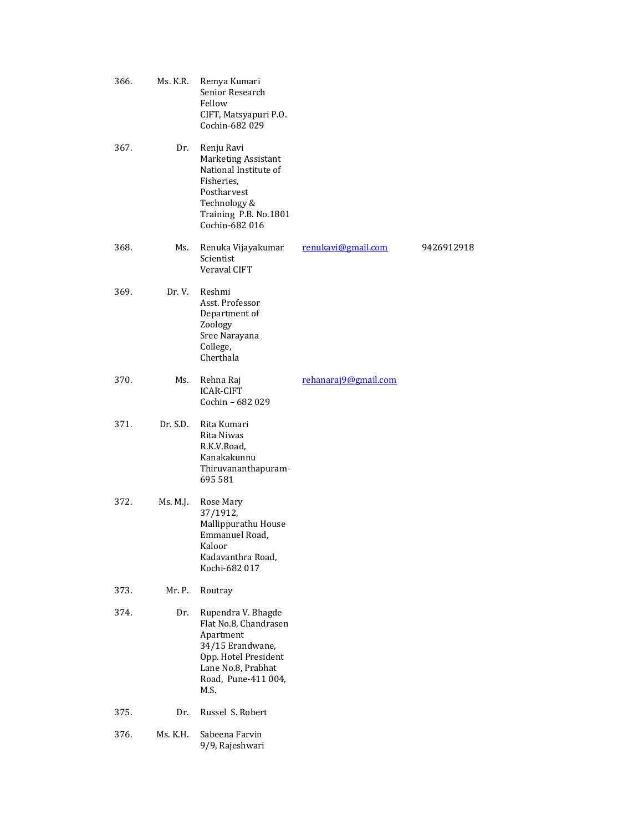| 366. | Ms. K.R. | Remya Kumari<br>Senior Research<br>Fellow<br>CIFT, Matsyapuri P.O.<br>Cochin-682 029                                                                      |                      |            |
|------|----------|-----------------------------------------------------------------------------------------------------------------------------------------------------------|----------------------|------------|
| 367. | Dr.      | Renju Ravi<br>Marketing Assistant<br>National Institute of<br>Fisheries,<br>Postharvest<br>Technology &<br>Training P.B. No.1801<br>Cochin-682 016        |                      |            |
| 368. | Ms.      | Renuka Vijayakumar<br>Scientist<br>Veraval CIFT                                                                                                           | renukavi@gmail.com   | 9426912918 |
| 369. | Dr. V.   | Reshmi<br>Asst. Professor<br>Department of<br>Zoology<br>Sree Narayana<br>College,<br>Cherthala                                                           |                      |            |
| 370. | Ms.      | Rehna Raj<br><b>ICAR-CIFT</b><br>Cochin - 682 029                                                                                                         | rehanaraj9@gmail.com |            |
| 371. | Dr. S.D. | Rita Kumari<br>Rita Niwas<br>R.K.V.Road,<br>Kanakakunnu<br>Thiruvananthapuram-<br>695 581                                                                 |                      |            |
| 372. | Ms. M.J. | Rose Mary<br>37/1912,<br>Mallippurathu House<br>Emmanuel Road,<br>Kaloor<br>Kadavanthra Road,<br>Kochi-682 017                                            |                      |            |
| 373. | Mr. P.   | Routray                                                                                                                                                   |                      |            |
| 374. | Dr.      | Rupendra V. Bhagde<br>Flat No.8, Chandrasen<br>Apartment<br>34/15 Erandwane,<br>Opp. Hotel President<br>Lane No.8, Prabhat<br>Road, Pune-411 004,<br>M.S. |                      |            |
| 375. | Dr.      | Russel S. Robert                                                                                                                                          |                      |            |
| 376. | Ms. K.H. | Sabeena Farvin<br>9/9, Rajeshwari                                                                                                                         |                      |            |
|      |          |                                                                                                                                                           |                      |            |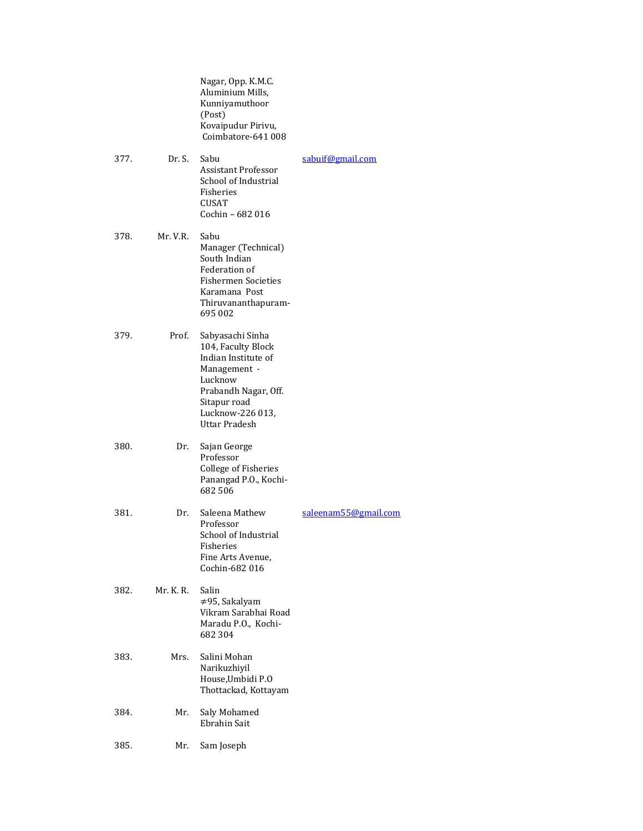|      |           | Nagar, Opp. K.M.C.<br>Aluminium Mills,<br>Kunniyamuthoor<br>(Post)<br>Kovaipudur Pirivu,<br>Coimbatore-641 008                                                        |                      |
|------|-----------|-----------------------------------------------------------------------------------------------------------------------------------------------------------------------|----------------------|
| 377. | Dr. S.    | Sabu<br>Assistant Professor<br>School of Industrial<br>Fisheries<br><b>CUSAT</b><br>Cochin - 682 016                                                                  | sabuif@gmail.com     |
| 378. | Mr. V.R.  | Sabu<br>Manager (Technical)<br>South Indian<br>Federation of<br><b>Fishermen Societies</b><br>Karamana Post<br>Thiruvananthapuram-<br>695 002                         |                      |
| 379. | Prof.     | Sabyasachi Sinha<br>104, Faculty Block<br>Indian Institute of<br>Management -<br>Lucknow<br>Prabandh Nagar, Off.<br>Sitapur road<br>Lucknow-226 013,<br>Uttar Pradesh |                      |
| 380. | Dr.       | Sajan George<br>Professor<br><b>College of Fisheries</b><br>Panangad P.O., Kochi-<br>682 506                                                                          |                      |
| 381. | Dr.       | Saleena Mathew<br>Professor<br>School of Industrial<br>Fisheries<br>Fine Arts Avenue,<br>Cochin-682 016                                                               | saleenam55@gmail.com |
| 382. | Mr. K. R. | Salin<br>≠95, Sakalyam<br>Vikram Sarabhai Road<br>Maradu P.O., Kochi-<br>682 304                                                                                      |                      |
| 383. | Mrs.      | Salini Mohan<br>Narikuzhiyil<br>House, Umbidi P.O<br>Thottackad, Kottayam                                                                                             |                      |
| 384. | Mr.       | Saly Mohamed<br><b>Ebrahin Sait</b>                                                                                                                                   |                      |
| 385. | Mr.       | Sam Joseph                                                                                                                                                            |                      |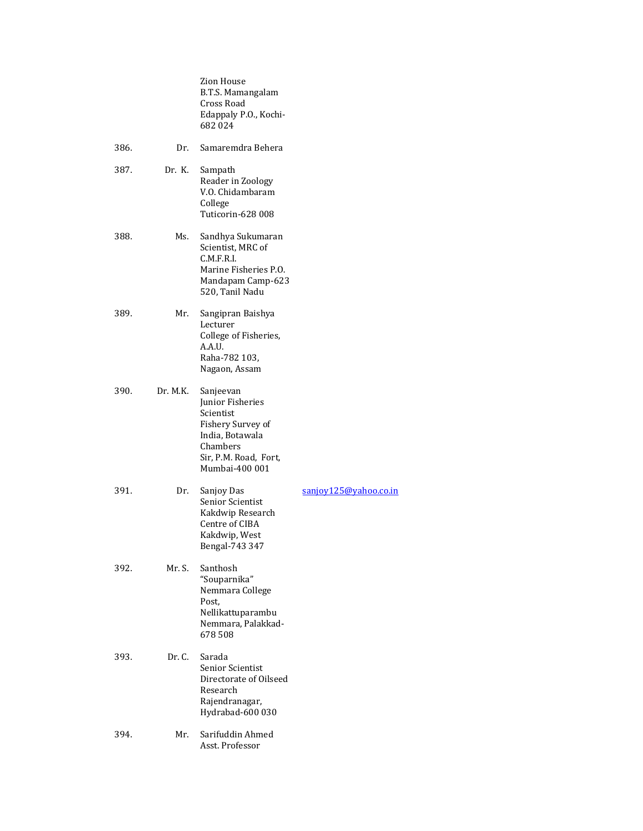|      |          | Zion House<br>B.T.S. Mamangalam<br>Cross Road<br>Edappaly P.O., Kochi-<br>682024                                                          |                       |
|------|----------|-------------------------------------------------------------------------------------------------------------------------------------------|-----------------------|
| 386. | Dr.      | Samaremdra Behera                                                                                                                         |                       |
| 387. | Dr. K.   | Sampath<br>Reader in Zoology<br>V.O. Chidambaram<br>College<br>Tuticorin-628 008                                                          |                       |
| 388. | Ms.      | Sandhya Sukumaran<br>Scientist, MRC of<br>C.M.F.R.I.<br>Marine Fisheries P.O.<br>Mandapam Camp-623<br>520, Tanil Nadu                     |                       |
| 389. | Mr.      | Sangipran Baishya<br>Lecturer<br>College of Fisheries,<br>A.A.U.<br>Raha-782 103,<br>Nagaon, Assam                                        |                       |
| 390. | Dr. M.K. | Sanjeevan<br>Junior Fisheries<br>Scientist<br>Fishery Survey of<br>India, Botawala<br>Chambers<br>Sir, P.M. Road, Fort,<br>Mumbai-400 001 |                       |
| 391. | Dr.      | Sanjoy Das<br>Senior Scientist<br>Kakdwip Research<br>Centre of CIBA<br>Kakdwip, West<br>Bengal-743 347                                   | sanjoy125@yahoo.co.in |
| 392. | Mr. S.   | Santhosh<br>"Souparnika"<br>Nemmara College<br>Post,<br>Nellikattuparambu<br>Nemmara, Palakkad-<br>678508                                 |                       |
| 393. | Dr. C.   | Sarada<br>Senior Scientist<br>Directorate of Oilseed<br>Research<br>Rajendranagar,<br>Hydrabad-600 030                                    |                       |
| 394. | Mr.      | Sarifuddin Ahmed<br>Asst. Professor                                                                                                       |                       |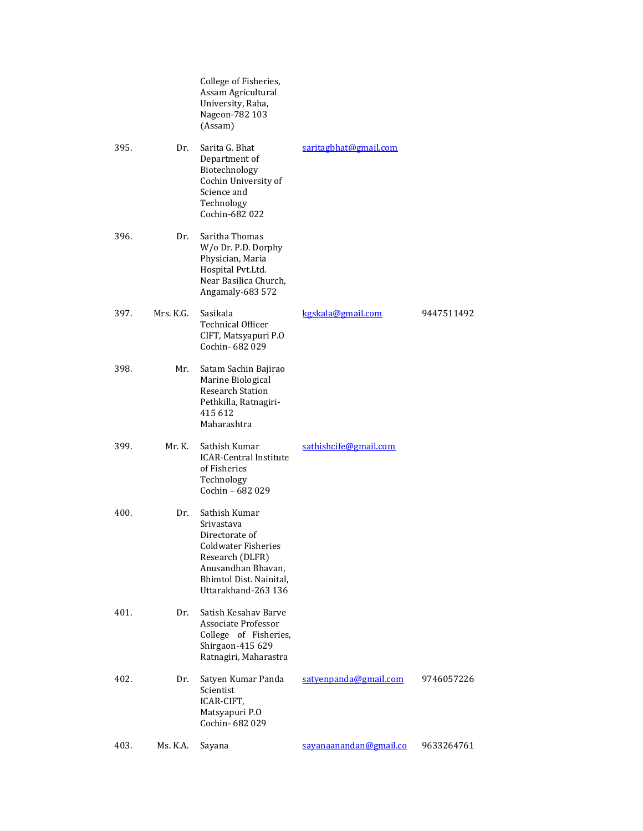|      |           | College of Fisheries,<br>Assam Agricultural<br>University, Raha,<br>Nageon-782 103<br>(Assam)                                                                   |                        |            |
|------|-----------|-----------------------------------------------------------------------------------------------------------------------------------------------------------------|------------------------|------------|
| 395. | Dr.       | Sarita G. Bhat<br>Department of<br>Biotechnology<br>Cochin University of<br>Science and<br>Technology<br>Cochin-682 022                                         | saritagbhat@gmail.com  |            |
| 396. | Dr.       | Saritha Thomas<br>W/o Dr. P.D. Dorphy<br>Physician, Maria<br>Hospital Pvt.Ltd.<br>Near Basilica Church,<br>Angamaly-683 572                                     |                        |            |
| 397. | Mrs. K.G. | Sasikala<br><b>Technical Officer</b><br>CIFT, Matsyapuri P.O<br>Cochin- 682 029                                                                                 | kgskala@gmail.com      | 9447511492 |
| 398. | Mr.       | Satam Sachin Bajirao<br>Marine Biological<br><b>Research Station</b><br>Pethkilla, Ratnagiri-<br>415 612<br>Maharashtra                                         |                        |            |
| 399. | Mr. K.    | Sathish Kumar<br><b>ICAR-Central Institute</b><br>of Fisheries<br>Technology<br>Cochin - 682 029                                                                | sathishcife@gmail.com  |            |
| 400. | Dr.       | Sathish Kumar<br>Srivastava<br>Directorate of<br>Coldwater Fisheries<br>Research (DLFR)<br>Anusandhan Bhavan,<br>Bhimtol Dist. Nainital,<br>Uttarakhand-263 136 |                        |            |
| 401. | Dr.       | Satish Kesahav Barve<br>Associate Professor<br>College of Fisheries,<br>Shirgaon-415 629<br>Ratnagiri, Maharastra                                               |                        |            |
| 402. | Dr.       | Satyen Kumar Panda<br>Scientist<br>ICAR-CIFT,<br>Matsyapuri P.O<br>Cochin-682029                                                                                | satyenpanda@gmail.com  | 9746057226 |
| 403. | Ms. K.A.  | Sayana                                                                                                                                                          | sayanaanandan@gmail.co | 9633264761 |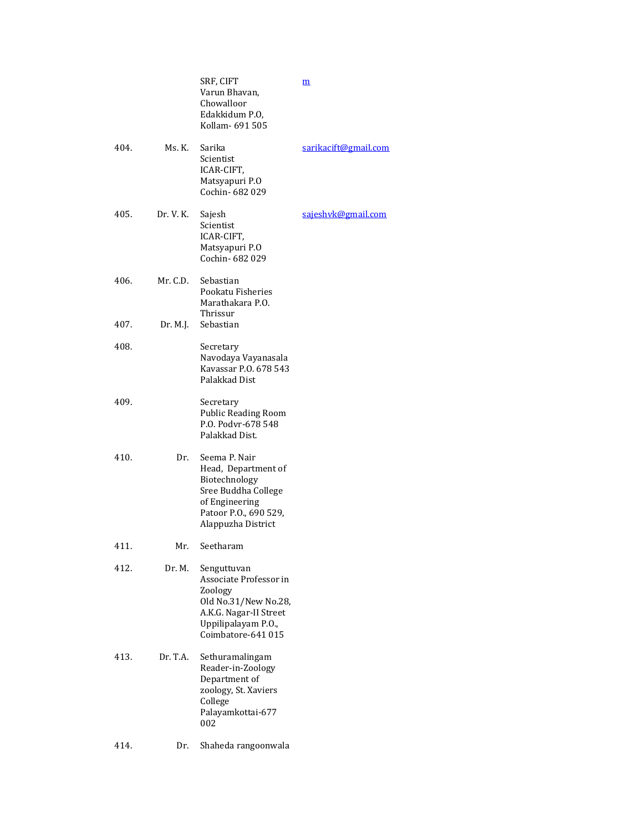|      |           | SRF, CIFT<br>Varun Bhavan,<br>Chowalloor<br>Edakkidum P.O,<br>Kollam- 691 505                                                                  | $\underline{\mathbf{m}}$ |
|------|-----------|------------------------------------------------------------------------------------------------------------------------------------------------|--------------------------|
| 404. | Ms. K.    | Sarika<br>Scientist<br>ICAR-CIFT,<br>Matsyapuri P.O<br>Cochin- 682 029                                                                         | sarikacift@gmail.com     |
| 405. | Dr. V. K. | Sajesh<br>Scientist<br>ICAR-CIFT,<br>Matsyapuri P.O<br>Cochin- 682 029                                                                         | sajeshyk@gmail.com       |
| 406. | Mr. C.D.  | Sebastian<br>Pookatu Fisheries<br>Marathakara P.O.<br>Thrissur                                                                                 |                          |
| 407. | Dr. M.J.  | Sebastian                                                                                                                                      |                          |
| 408. |           | Secretary<br>Navodaya Vayanasala<br>Kavassar P.O. 678 543<br>Palakkad Dist                                                                     |                          |
| 409. |           | Secretary<br><b>Public Reading Room</b><br>P.O. Podyr-678 548<br>Palakkad Dist.                                                                |                          |
| 410. | Dr.       | Seema P. Nair<br>Head, Department of<br>Biotechnology<br>Sree Buddha College<br>of Engineering<br>Patoor P.O., 690 529,<br>Alappuzha District  |                          |
| 411. | Mr.       | Seetharam                                                                                                                                      |                          |
| 412. | Dr. M.    | Senguttuvan<br>Associate Professor in<br>Zoology<br>Old No.31/New No.28,<br>A.K.G. Nagar-II Street<br>Uppilipalayam P.O.,<br>Coimbatore-641015 |                          |
| 413. | Dr. T.A.  | Sethuramalingam<br>Reader-in-Zoology<br>Department of<br>zoology, St. Xaviers<br>College<br>Palayamkottai-677<br>002                           |                          |
| 414. | Dr.       | Shaheda rangoonwala                                                                                                                            |                          |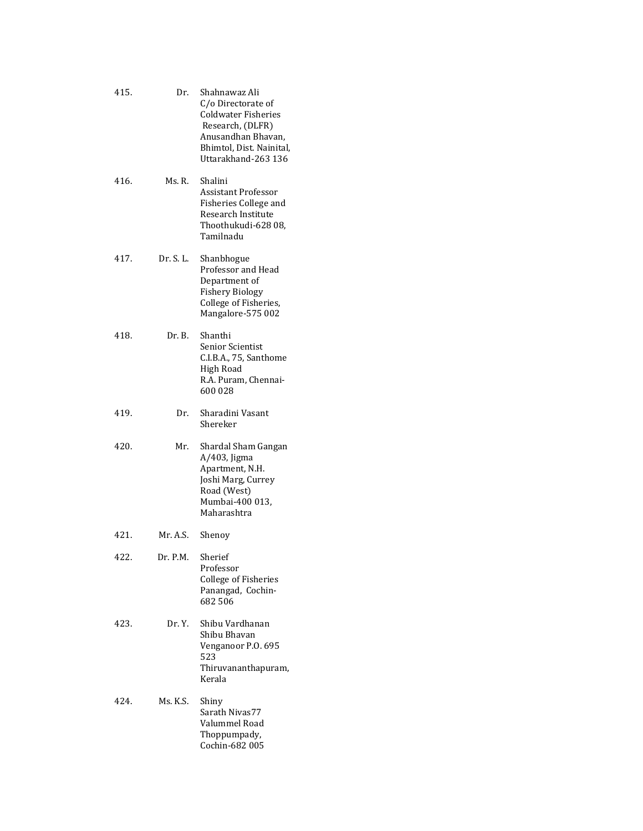| 415. | Dr.       | Shahnawaz Ali<br>C/o Directorate of<br><b>Coldwater Fisheries</b><br>Research, (DLFR)<br>Anusandhan Bhavan,<br>Bhimtol, Dist. Nainital,<br>Uttarakhand-263 136 |
|------|-----------|----------------------------------------------------------------------------------------------------------------------------------------------------------------|
| 416. | Ms. R.    | Shalini<br><b>Assistant Professor</b><br>Fisheries College and<br>Research Institute<br>Thoothukudi-628 08,<br>Tamilnadu                                       |
| 417. | Dr. S. L. | Shanbhogue<br>Professor and Head<br>Department of<br><b>Fishery Biology</b><br>College of Fisheries,<br>Mangalore-575 002                                      |
| 418. | Dr. B.    | Shanthi<br><b>Senior Scientist</b><br>C.I.B.A., 75, Santhome<br>High Road<br>R.A. Puram, Chennai-<br>600028                                                    |
| 419. | Dr.       | Sharadini Vasant<br>Shereker                                                                                                                                   |
| 420. | Mr.       | Shardal Sham Gangan<br>A/403, Jigma<br>Apartment, N.H.<br>Joshi Marg, Currey<br>Road (West)<br>Mumbai-400 013,<br>Maharashtra                                  |
| 421. | Mr. A.S.  | Shenoy                                                                                                                                                         |
| 422. | Dr. P.M.  | Sherief<br>Professor<br><b>College of Fisheries</b><br>Panangad, Cochin-<br>682506                                                                             |
| 423. | Dr. Y.    | Shibu Vardhanan<br>Shibu Bhavan<br>Venganoor P.O. 695<br>523<br>Thiruvananthapuram,<br>Kerala                                                                  |
| 424. | Ms. K.S.  | Shiny<br>Sarath Nivas77<br>Valummel Road<br>Thoppumpady,<br>Cochin-682 005                                                                                     |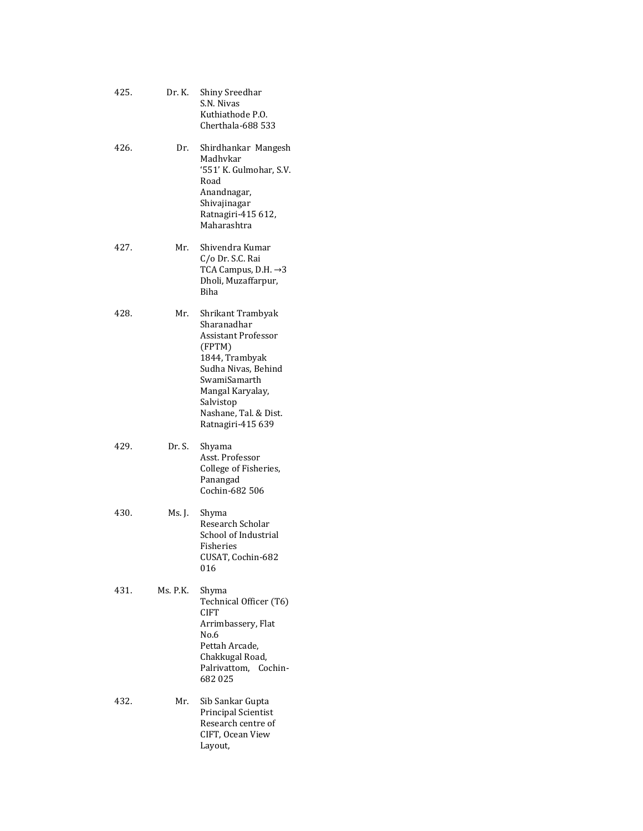| 425. | Dr. K.   | Shiny Sreedhar<br>S.N. Nivas<br>Kuthiathode P.O.<br>Cherthala-688 533                                                                                                                                            |
|------|----------|------------------------------------------------------------------------------------------------------------------------------------------------------------------------------------------------------------------|
| 426. | Dr.      | Shirdhankar Mangesh<br>Madhvkar<br>'551' K. Gulmohar, S.V.<br>Road<br>Anandnagar,<br>Shivajinagar<br>Ratnagiri-415 612,<br>Maharashtra                                                                           |
| 427. | Mr.      | Shivendra Kumar<br>C/o Dr. S.C. Rai<br>TCA Campus, D.H. $\rightarrow$ 3<br>Dholi, Muzaffarpur,<br><b>Biha</b>                                                                                                    |
| 428. | Mr.      | Shrikant Trambyak<br>Sharanadhar<br><b>Assistant Professor</b><br>(FPTM)<br>1844, Trambyak<br>Sudha Nivas, Behind<br>SwamiSamarth<br>Mangal Karyalay,<br>Salvistop<br>Nashane, Tal. & Dist.<br>Ratnagiri-415 639 |
| 429. | Dr. S.   | Shyama<br>Asst. Professor<br>College of Fisheries,<br>Panangad<br>Cochin-682 506                                                                                                                                 |
| 430. | Ms. J.   | Shyma<br>Research Scholar<br>School of Industrial<br>Fisheries<br>CUSAT, Cochin-682<br>016                                                                                                                       |
| 431. | Ms. P.K. | Shyma<br>Technical Officer (T6)<br>CIFT<br>Arrimbassery, Flat<br>No.6<br>Pettah Arcade,<br>Chakkugal Road,<br>Palrivattom, Cochin-<br>682025                                                                     |
| 432. | Mr.      | Sib Sankar Gupta<br>Principal Scientist<br>Research centre of<br>CIFT, Ocean View<br>Layout,                                                                                                                     |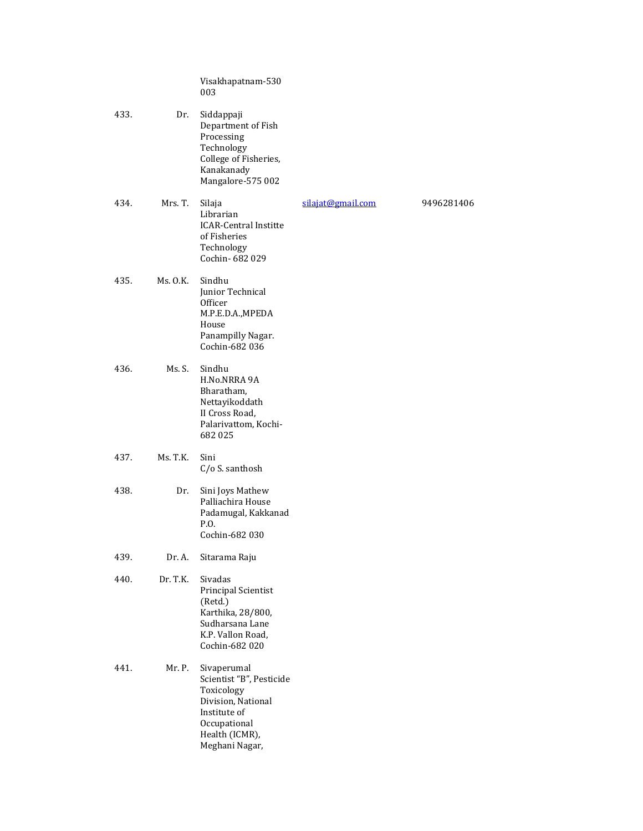|      |             | Visakhapatnam-530<br>003                                                                                                                        |                   |            |
|------|-------------|-------------------------------------------------------------------------------------------------------------------------------------------------|-------------------|------------|
| 433. | Dr.         | Siddappaji<br>Department of Fish<br>Processing<br>Technology<br>College of Fisheries,<br>Kanakanady<br>Mangalore-575 002                        |                   |            |
| 434. | Mrs. T.     | Silaja<br>Librarian<br><b>ICAR-Central Institte</b><br>of Fisheries<br>Technology<br>Cochin-682029                                              | silajat@gmail.com | 9496281406 |
| 435. | $Ms$ . O.K. | Sindhu<br>Junior Technical<br>Officer<br>M.P.E.D.A., MPEDA<br>House<br>Panampilly Nagar.<br>Cochin-682 036                                      |                   |            |
| 436. | Ms. S.      | Sindhu<br>H.No.NRRA 9A<br>Bharatham,<br>Nettayikoddath<br>II Cross Road,<br>Palarivattom, Kochi-<br>682025                                      |                   |            |
| 437. | Ms. T.K.    | Sini<br>C/o S. santhosh                                                                                                                         |                   |            |
| 438. | Dr.         | Sini Joys Mathew<br>Palliachira House<br>Padamugal, Kakkanad<br>P.O.<br>Cochin-682 030                                                          |                   |            |
| 439. | Dr. A.      | Sitarama Raju                                                                                                                                   |                   |            |
| 440. | Dr. T.K.    | Sivadas<br>Principal Scientist<br>(Retd.)<br>Karthika, 28/800,<br>Sudharsana Lane<br>K.P. Vallon Road,<br>Cochin-682 020                        |                   |            |
| 441. | Mr. P.      | Sivaperumal<br>Scientist "B", Pesticide<br>Toxicology<br>Division, National<br>Institute of<br>Occupational<br>Health (ICMR),<br>Meghani Nagar, |                   |            |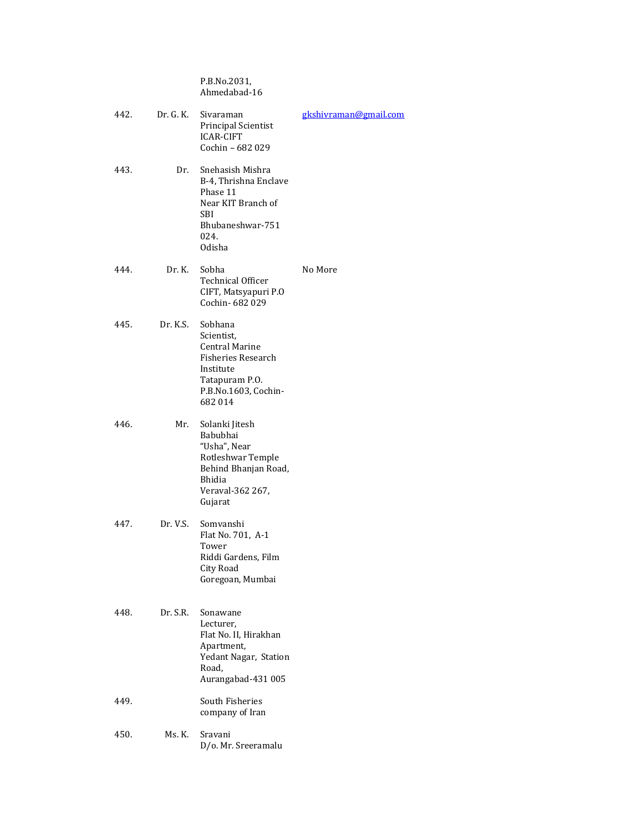P.B.No.2031, Ahmedabad-16

| 442. | Dr. G. K. | gkshivraman@gmail.com<br>Sivaraman<br>Principal Scientist<br><b>ICAR-CIFT</b><br>Cochin - 682 029                                     |         |
|------|-----------|---------------------------------------------------------------------------------------------------------------------------------------|---------|
| 443. | Dr.       | Snehasish Mishra<br>B-4, Thrishna Enclave<br>Phase 11<br>Near KIT Branch of<br>SBI<br>Bhubaneshwar-751<br>024.<br>Odisha              |         |
| 444. | Dr. K.    | Sobha<br><b>Technical Officer</b><br>CIFT, Matsyapuri P.O<br>Cochin- 682 029                                                          | No More |
| 445. | Dr. K.S.  | Sobhana<br>Scientist.<br><b>Central Marine</b><br>Fisheries Research<br>Institute<br>Tatapuram P.O.<br>P.B.No.1603, Cochin-<br>682014 |         |
| 446. | Mr.       | Solanki Jitesh<br>Babubhai<br>"Usha", Near<br>Rotleshwar Temple<br>Behind Bhanjan Road,<br>Bhidia<br>Veraval-362 267,<br>Gujarat      |         |
| 447. | Dr. V.S.  | Somvanshi<br>Flat No. 701, A-1<br>Tower<br>Riddi Gardens, Film<br>City Road<br>Goregoan, Mumbai                                       |         |
| 448. | Dr. S.R.  | Sonawane<br>Lecturer,<br>Flat No. II, Hirakhan<br>Apartment,<br>Yedant Nagar, Station<br>Road,<br>Aurangabad-431 005                  |         |
| 449. |           | South Fisheries<br>company of Iran                                                                                                    |         |
| 450. | Ms. K.    | Sravani<br>D/o. Mr. Sreeramalu                                                                                                        |         |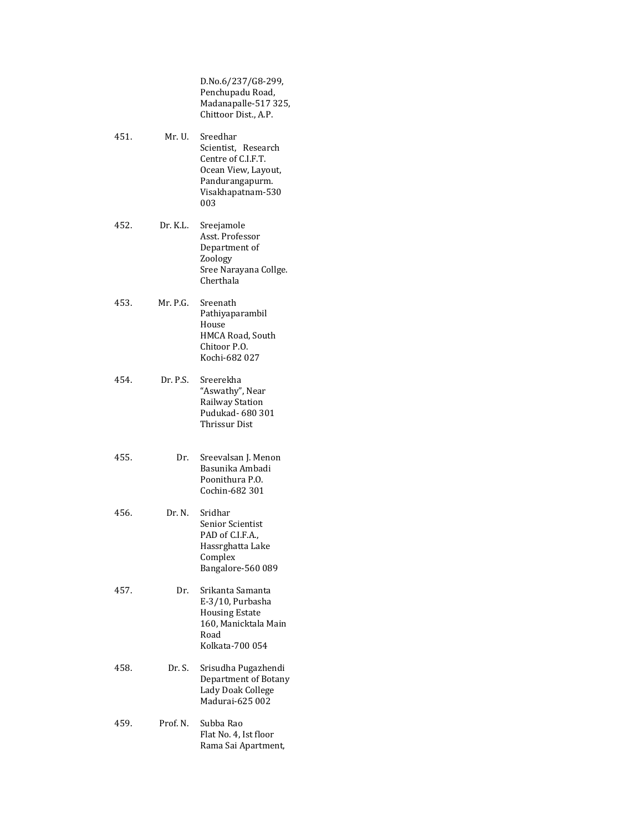D.No.6/237/G8-299, Penchupadu Road, Madanapalle-517 325, Chittoor Dist., A.P.

- 451. Mr. U. Sreedhar Scientist, Research Centre of C.I.F.T. Ocean View, Layout, Pandurangapurm. Visakhapatnam-530 003
- 452. Dr. K.L. Sreejamole Asst. Professor Department of Zoology Sree Narayana Collge. Cherthala
- 453. Mr. P.G. Sreenath Pathiyaparambil House HMCA Road, South Chitoor P.O. Kochi-682 027
- 454. Dr. P.S. Sreerekha "Aswathy", Near Railway Station Pudukad- 680 301 Thrissur Dist
- 455. Dr. Sreevalsan J. Menon Basunika Ambadi Poonithura P.O. Cochin-682 301
- 456. Dr. N. Sridhar Senior Scientist PAD of C.I.F.A., Hassrghatta Lake Complex Bangalore-560 089
- 457. Dr. Srikanta Samanta E-3/10, Purbasha Housing Estate 160, Manicktala Main Road Kolkata-700 054
- 458. Dr. S. Srisudha Pugazhendi Department of Botany Lady Doak College Madurai-625 002
- 459. Prof. N. Subba Rao Flat No. 4, Ist floor Rama Sai Apartment,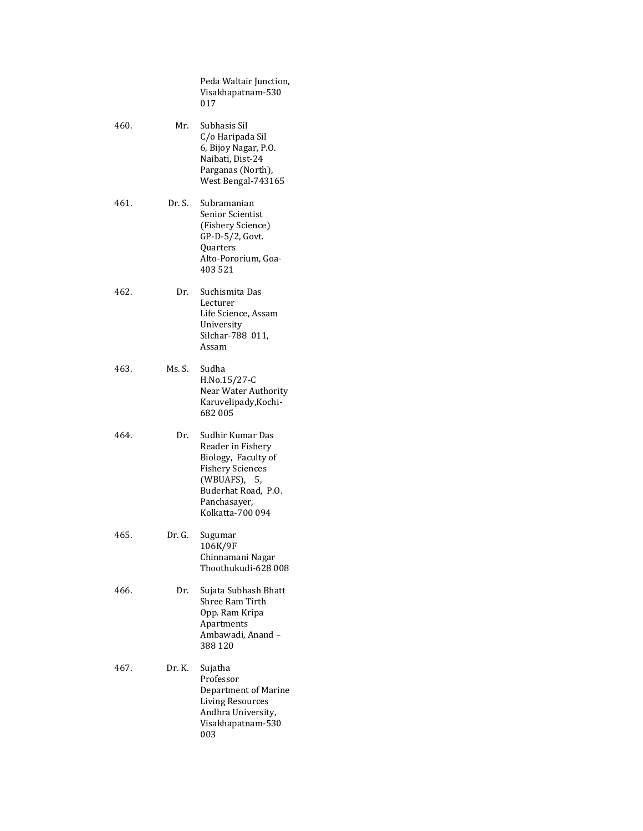|      |        | Peda Waltair Junction,<br>Visakhapatnam-530<br>017                                                                                                                 |
|------|--------|--------------------------------------------------------------------------------------------------------------------------------------------------------------------|
| 460. | Mr.    | Subhasis Sil<br>C/o Haripada Sil<br>6, Bijoy Nagar, P.O.<br>Naibati, Dist-24<br>Parganas (North),<br>West Bengal-743165                                            |
| 461. | Dr. S. | Subramanian<br>Senior Scientist<br>(Fishery Science)<br>GP-D-5/2, Govt.<br>Quarters<br>Alto-Pororium, Goa-<br>403 521                                              |
| 462. | Dr.    | Suchismita Das<br>Lecturer<br>Life Science, Assam<br>University<br>Silchar-788 011,<br>Assam                                                                       |
| 463. | Ms. S. | Sudha<br>H.No.15/27-C<br>Near Water Authority<br>Karuvelipady, Kochi-<br>682005                                                                                    |
| 464. | Dr.    | Sudhir Kumar Das<br>Reader in Fishery<br>Biology, Faculty of<br><b>Fishery Sciences</b><br>(WBUAFS), 5,<br>Buderhat Road, P.O.<br>Panchasayer,<br>Kolkatta-700 094 |
| 465. | Dr. G. | Sugumar<br>106K/9F<br>Chinnamani Nagar<br>Thoothukudi-628 008                                                                                                      |
| 466. | Dr.    | Sujata Subhash Bhatt<br>Shree Ram Tirth<br>Opp. Ram Kripa<br>Apartments<br>Ambawadi, Anand -<br>388 120                                                            |
| 467. | Dr. K. | Sujatha<br>Professor<br>Department of Marine<br><b>Living Resources</b><br>Andhra University,<br>Visakhapatnam-530<br>003                                          |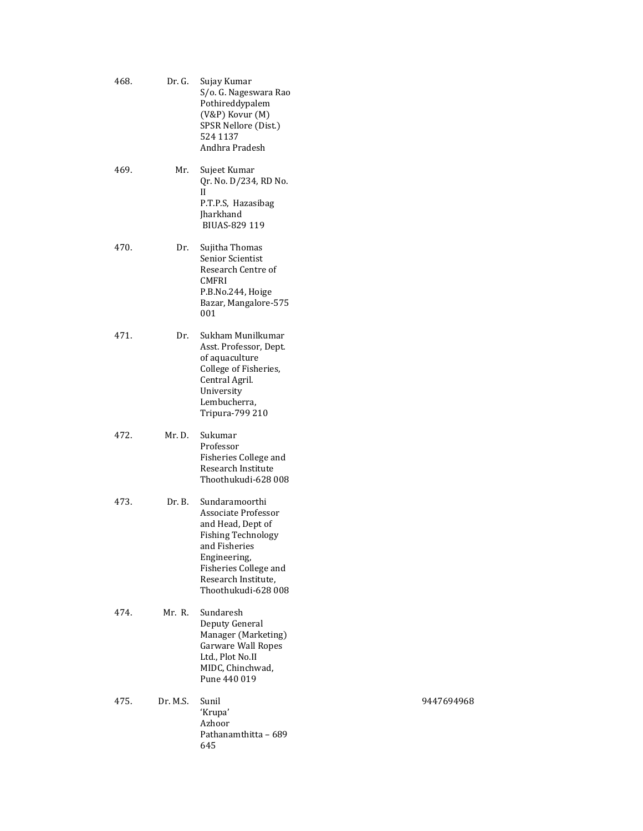| 468. | Dr. G.   | Sujay Kumar<br>S/o. G. Nageswara Rao<br>Pothireddypalem<br>(V&P) Kovur (M)<br>SPSR Nellore (Dist.)<br>524 1137<br>Andhra Pradesh                                                                |
|------|----------|-------------------------------------------------------------------------------------------------------------------------------------------------------------------------------------------------|
| 469. | Mr.      | Sujeet Kumar<br>Qr. No. D/234, RD No.<br>Н<br>P.T.P.S, Hazasibag<br><b>Iharkhand</b><br>BIUAS-829 119                                                                                           |
| 470. | Dr.      | Sujitha Thomas<br><b>Senior Scientist</b><br>Research Centre of<br>CMFRI<br>P.B.No.244, Hoige<br>Bazar, Mangalore-575<br>001                                                                    |
| 471. | Dr.      | Sukham Munilkumar<br>Asst. Professor, Dept.<br>of aquaculture<br>College of Fisheries,<br>Central Agril.<br>University<br>Lembucherra,<br>Tripura-799 210                                       |
| 472. | Mr. D.   | Sukumar<br>Professor<br>Fisheries College and<br>Research Institute<br>Thoothukudi-628 008                                                                                                      |
| 473. | Dr. B.   | Sundaramoorthi<br>Associate Professor<br>and Head, Dept of<br><b>Fishing Technology</b><br>and Fisheries<br>Engineering,<br>Fisheries College and<br>Research Institute,<br>Thoothukudi-628 008 |
| 474. | Mr. R.   | Sundaresh<br>Deputy General<br>Manager (Marketing)<br><b>Garware Wall Ropes</b><br>Ltd., Plot No.II<br>MIDC, Chinchwad,<br>Pune 440 019                                                         |
| 475. | Dr. M.S. | Sunil<br>'Krupa'<br>Azhoor<br>Pathanamthitta – 689<br>645                                                                                                                                       |

9447694968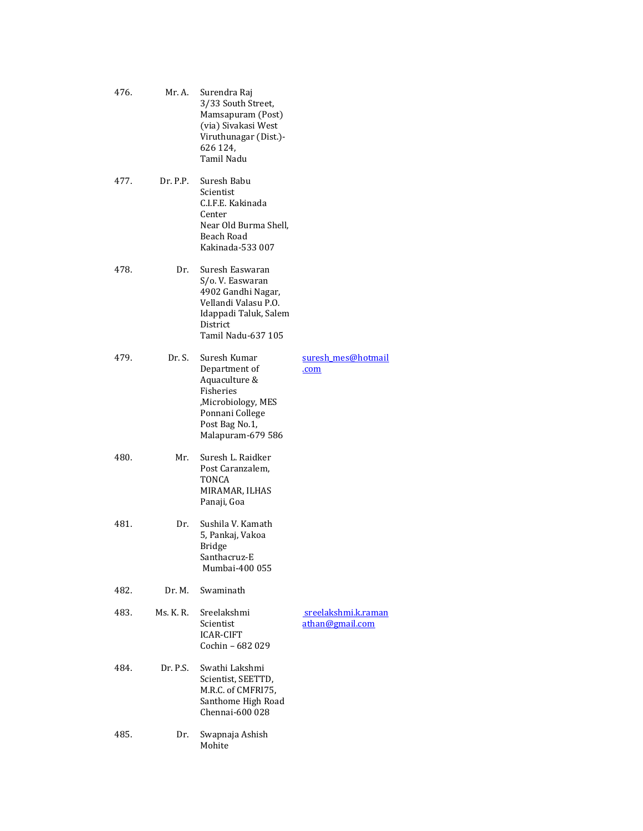| 476. | Mr. A.    | Surendra Raj<br>3/33 South Street,<br>Mamsapuram (Post)<br>(via) Sivakasi West<br>Viruthunagar (Dist.)-<br>626 124,<br>Tamil Nadu                   |                                        |
|------|-----------|-----------------------------------------------------------------------------------------------------------------------------------------------------|----------------------------------------|
| 477. | Dr. P.P.  | Suresh Babu<br>Scientist<br>C.I.F.E. Kakinada<br>Center<br>Near Old Burma Shell,<br>Beach Road<br>Kakinada-533007                                   |                                        |
| 478. | Dr.       | Suresh Easwaran<br>S/o. V. Easwaran<br>4902 Gandhi Nagar,<br>Vellandi Valasu P.O.<br>Idappadi Taluk, Salem<br><b>District</b><br>Tamil Nadu-637 105 |                                        |
| 479. | Dr. S.    | Suresh Kumar<br>Department of<br>Aquaculture &<br>Fisheries<br>,Microbiology, MES<br>Ponnani College<br>Post Bag No.1,<br>Malapuram-679 586         | suresh mes@hotmail<br>.com             |
| 480. | Mr.       | Suresh L. Raidker<br>Post Caranzalem,<br>TONCA<br>MIRAMAR, ILHAS<br>Panaji, Goa                                                                     |                                        |
| 481. | Dr.       | Sushila V. Kamath<br>5, Pankaj, Vakoa<br><b>Bridge</b><br>Santhacruz-E<br>Mumbai-400 055                                                            |                                        |
| 482. | Dr. M.    | Swaminath                                                                                                                                           |                                        |
| 483. | Ms. K. R. | Sreelakshmi<br>Scientist<br>ICAR-CIFT<br>Cochin - 682 029                                                                                           | sreelakshmi.k.raman<br>athan@gmail.com |
| 484. | Dr. P.S.  | Swathi Lakshmi<br>Scientist, SEETTD,<br>M.R.C. of CMFRI75,<br>Santhome High Road<br>Chennai-600 028                                                 |                                        |
| 485. | Dr.       | Swapnaja Ashish<br>Mohite                                                                                                                           |                                        |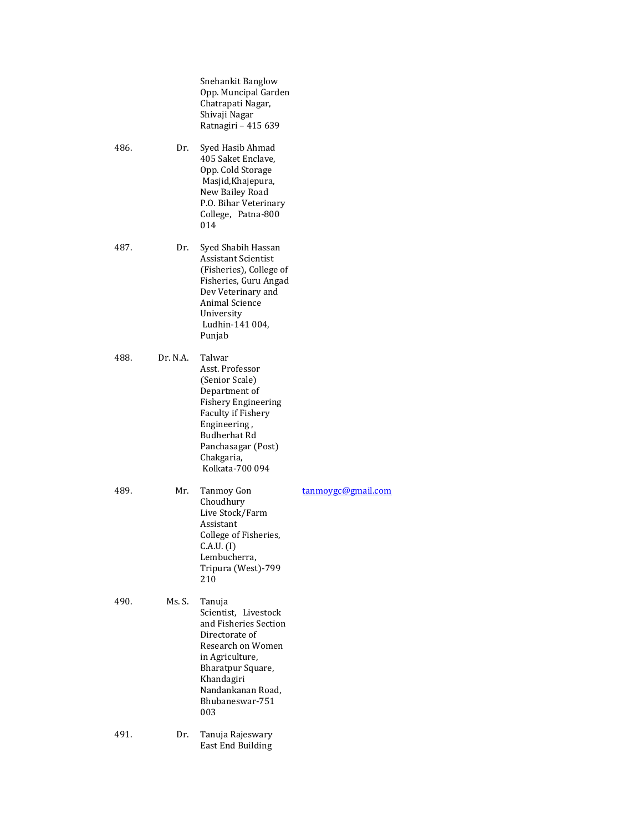|      |          | Snehankit Banglow<br>Opp. Muncipal Garden<br>Chatrapati Nagar,<br>Shivaji Nagar<br>Ratnagiri - 415 639                                                                                                         |                    |
|------|----------|----------------------------------------------------------------------------------------------------------------------------------------------------------------------------------------------------------------|--------------------|
| 486. | Dr.      | Syed Hasib Ahmad<br>405 Saket Enclave,<br>Opp. Cold Storage<br>Masjid, Khajepura,<br>New Bailey Road<br>P.O. Bihar Veterinary<br>College, Patna-800<br>014                                                     |                    |
| 487. | Dr.      | Syed Shabih Hassan<br>Assistant Scientist<br>(Fisheries), College of<br>Fisheries, Guru Angad<br>Dev Veterinary and<br><b>Animal Science</b><br>University<br>Ludhin-141 004,<br>Punjab                        |                    |
| 488. | Dr. N.A. | Talwar<br>Asst. Professor<br>(Senior Scale)<br>Department of<br><b>Fishery Engineering</b><br>Faculty if Fishery<br>Engineering,<br><b>Budherhat Rd</b><br>Panchasagar (Post)<br>Chakgaria,<br>Kolkata-700 094 |                    |
| 489. | Mr.      | <b>Tanmoy Gon</b><br>Choudhury<br>Live Stock/Farm<br>Assistant<br>College of Fisheries,<br>C.A.U. (I)<br>Lembucherra,<br>Tripura (West)-799<br>210                                                             | tanmovgc@gmail.com |
| 490. | Ms. S.   | Tanuja<br>Scientist, Livestock<br>and Fisheries Section<br>Directorate of<br>Research on Women<br>in Agriculture,<br>Bharatpur Square,<br>Khandagiri<br>Nandankanan Road,<br>Bhubaneswar-751<br>003            |                    |
| 491. | Dr.      | Tanuja Rajeswary<br><b>East End Building</b>                                                                                                                                                                   |                    |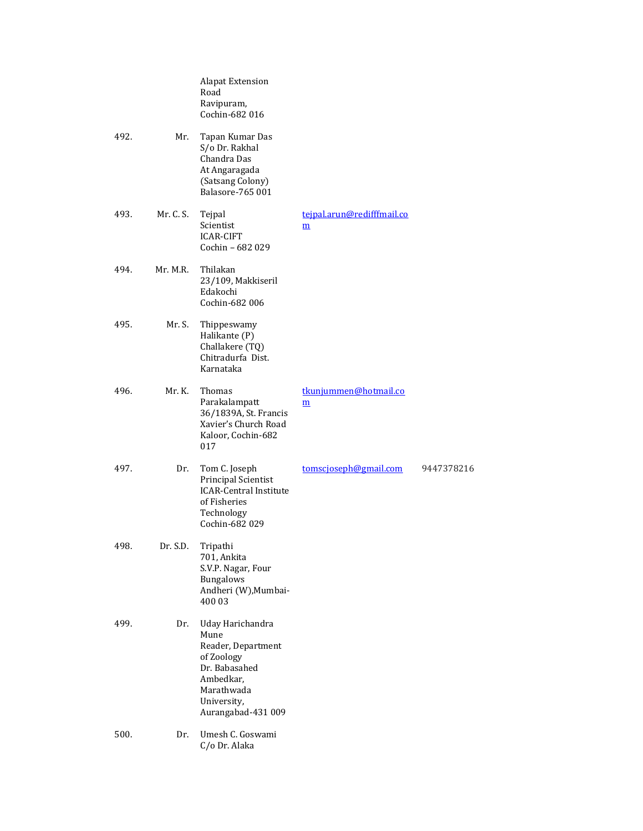|      |           | <b>Alapat Extension</b><br>Road<br>Ravipuram,<br>Cochin-682 016                                                                               |                                               |            |
|------|-----------|-----------------------------------------------------------------------------------------------------------------------------------------------|-----------------------------------------------|------------|
| 492. | Mr.       | Tapan Kumar Das<br>S/o Dr. Rakhal<br>Chandra Das<br>At Angaragada<br>(Satsang Colony)<br>Balasore-765 001                                     |                                               |            |
| 493. | Mr. C. S. | Tejpal<br>Scientist<br><b>ICAR-CIFT</b><br>Cochin - 682 029                                                                                   | tejpal.arun@redifffmail.co<br>$\underline{m}$ |            |
| 494. | Mr. M.R.  | Thilakan<br>23/109, Makkiseril<br>Edakochi<br>Cochin-682 006                                                                                  |                                               |            |
| 495. | Mr. S.    | Thippeswamy<br>Halikante (P)<br>Challakere (TQ)<br>Chitradurfa Dist.<br>Karnataka                                                             |                                               |            |
| 496. | Mr. K.    | Thomas<br>Parakalampatt<br>36/1839A, St. Francis<br>Xavier's Church Road<br>Kaloor, Cochin-682<br>017                                         | tkunjummen@hotmail.co<br>m                    |            |
| 497. | Dr.       | Tom C. Joseph<br>Principal Scientist<br><b>ICAR-Central Institute</b><br>of Fisheries<br>Technology<br>Cochin-682 029                         | tomscjoseph@gmail.com                         | 9447378216 |
| 498. | Dr. S.D.  | Tripathi<br>701, Ankita<br>S.V.P. Nagar, Four<br><b>Bungalows</b><br>Andheri (W), Mumbai-<br>400 03                                           |                                               |            |
| 499. | Dr.       | Uday Harichandra<br>Mune<br>Reader, Department<br>of Zoology<br>Dr. Babasahed<br>Ambedkar,<br>Marathwada<br>University,<br>Aurangabad-431 009 |                                               |            |
| 500. | Dr.       | Umesh C. Goswami<br>C/o Dr. Alaka                                                                                                             |                                               |            |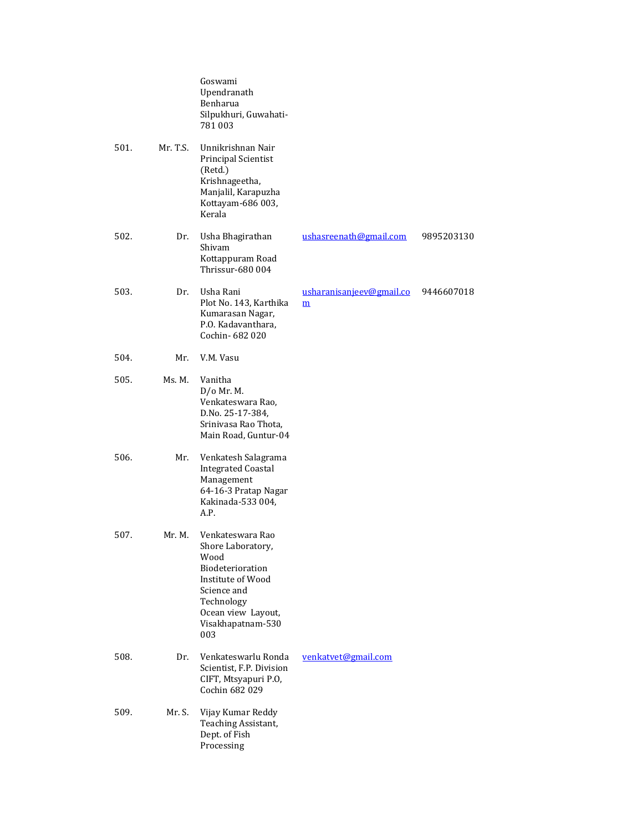|      |          | Goswami<br>Upendranath<br>Benharua<br>Silpukhuri, Guwahati-<br>781003                                                                                                 |                                                      |            |
|------|----------|-----------------------------------------------------------------------------------------------------------------------------------------------------------------------|------------------------------------------------------|------------|
| 501. | Mr. T.S. | Unnikrishnan Nair<br>Principal Scientist<br>(Retd.)<br>Krishnageetha,<br>Manjalil, Karapuzha<br>Kottayam-686 003,<br>Kerala                                           |                                                      |            |
| 502. | Dr.      | Usha Bhagirathan<br>Shivam<br>Kottappuram Road<br>Thrissur-680 004                                                                                                    | ushasreenath@gmail.com                               | 9895203130 |
| 503. | Dr.      | Usha Rani<br>Plot No. 143, Karthika<br>Kumarasan Nagar,<br>P.O. Kadavanthara,<br>Cochin-682020                                                                        | usharanisanjeev@gmail.co<br>$\underline{\mathbf{m}}$ | 9446607018 |
| 504. | Mr.      | V.M. Vasu                                                                                                                                                             |                                                      |            |
| 505. | Ms. M.   | Vanitha<br>$D/O$ Mr. M.<br>Venkateswara Rao,<br>D.No. 25-17-384,<br>Srinivasa Rao Thota,<br>Main Road, Guntur-04                                                      |                                                      |            |
| 506. | Mr.      | Venkatesh Salagrama<br><b>Integrated Coastal</b><br>Management<br>64-16-3 Pratap Nagar<br>Kakinada-533 004,<br>A.P.                                                   |                                                      |            |
| 507. | Mr. M.   | Venkateswara Rao<br>Shore Laboratory,<br>Wood<br>Biodeterioration<br>Institute of Wood<br>Science and<br>Technology<br>Ocean view Layout,<br>Visakhapatnam-530<br>003 |                                                      |            |
| 508. | Dr.      | Venkateswarlu Ronda<br>Scientist, F.P. Division<br>CIFT, Mtsyapuri P.O,<br>Cochin 682 029                                                                             | venkatvet@gmail.com                                  |            |
| 509. | Mr. S.   | Vijay Kumar Reddy<br>Teaching Assistant,<br>Dept. of Fish<br>Processing                                                                                               |                                                      |            |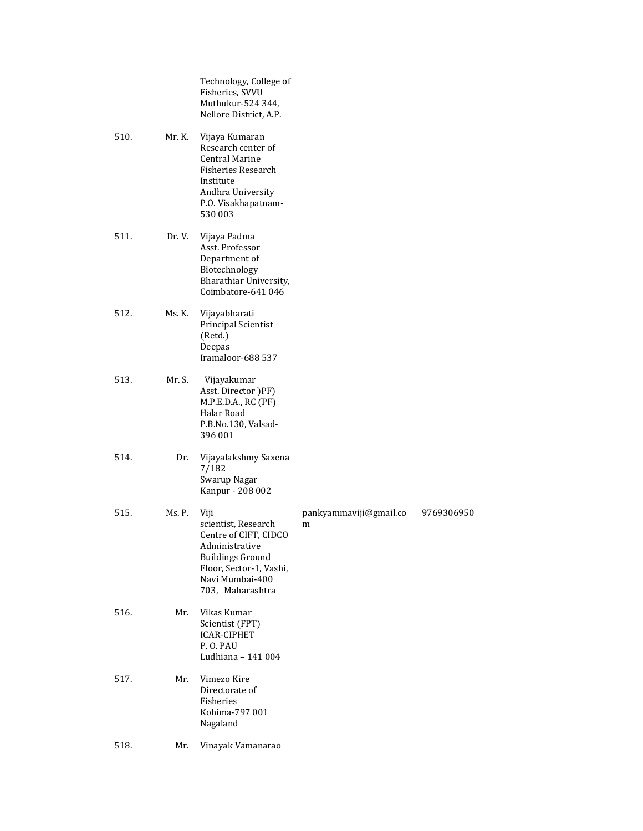Technology, College of Fisheries, SVVU Muthukur-524 344, Nellore District, A.P.

- 510. Mr. K. Vijaya Kumaran Research center of Central Marine Fisheries Research Institute Andhra University P.O. Visakhapatnam-530 003
- 511. Dr. V. Vijaya Padma Asst. Professor Department of Biotechnology Bharathiar University, Coimbatore-641 046
- 512. Ms. K. Vijayabharati Principal Scientist (Retd.) Deepas Iramaloor-688 537
- 513. Mr. S. Vijayakumar Asst. Director )PF) M.P.E.D.A., RC (PF) Halar Road P.B.No.130, Valsad-396 001
- 514. Dr. Vijayalakshmy Saxena 7/182 Swarup Nagar Kanpur - 208 002

515. Ms. P. Viji scientist, Research Centre of CIFT, CIDCO Administrative Buildings Ground Floor, Sector-1, Vashi, Navi Mumbai-400 703, Maharashtra pankyammaviji@gmail.co m 9769306950 516. Mr. Vikas Kumar Scientist (FPT) ICAR-CIPHET P. O. PAU Ludhiana – 141 004 517. Mr. Vimezo Kire Directorate of Fisheries Kohima-797 001 Nagaland

518. Mr. Vinayak Vamanarao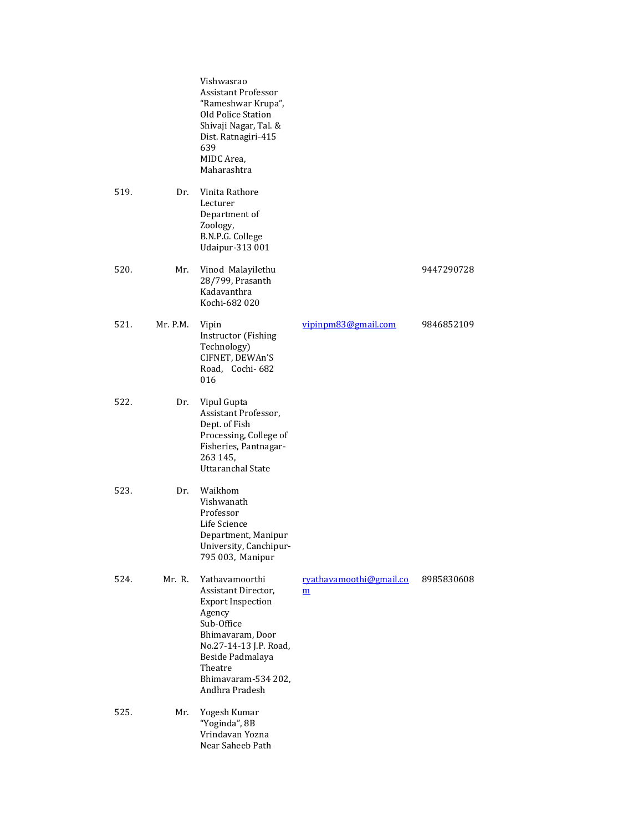|      |          | Vishwasrao<br><b>Assistant Professor</b><br>"Rameshwar Krupa",<br>Old Police Station<br>Shivaji Nagar, Tal. &<br>Dist. Ratnagiri-415<br>639<br>MIDC Area,<br>Maharashtra                                        |                              |            |
|------|----------|-----------------------------------------------------------------------------------------------------------------------------------------------------------------------------------------------------------------|------------------------------|------------|
| 519. | Dr.      | Vinita Rathore<br>Lecturer<br>Department of<br>Zoology,<br>B.N.P.G. College<br><b>Udaipur-313 001</b>                                                                                                           |                              |            |
| 520. | Mr.      | Vinod Malayilethu<br>28/799, Prasanth<br>Kadavanthra<br>Kochi-682 020                                                                                                                                           |                              | 9447290728 |
| 521. | Mr. P.M. | Vipin<br>Instructor (Fishing<br>Technology)<br>CIFNET, DEWAn'S<br>Road, Cochi-682<br>016                                                                                                                        | vipinpm83@gmail.com          | 9846852109 |
| 522. | Dr.      | Vipul Gupta<br>Assistant Professor,<br>Dept. of Fish<br>Processing, College of<br>Fisheries, Pantnagar-<br>263 145,<br><b>Uttaranchal State</b>                                                                 |                              |            |
| 523. | Dr.      | Waikhom<br>Vishwanath<br>Professor<br>Life Science<br>Department, Manipur<br>University, Canchipur-<br>795 003, Manipur                                                                                         |                              |            |
| 524. | Mr. R.   | Yathavamoorthi<br>Assistant Director,<br><b>Export Inspection</b><br>Agency<br>Sub-Office<br>Bhimavaram, Door<br>No.27-14-13 J.P. Road,<br>Beside Padmalaya<br>Theatre<br>Bhimavaram-534 202,<br>Andhra Pradesh | ryathavamoothi@gmail.co<br>m | 8985830608 |
| 525. | Mr.      | Yogesh Kumar<br>"Yoginda", 8B<br>Vrindavan Yozna<br>Near Saheeb Path                                                                                                                                            |                              |            |